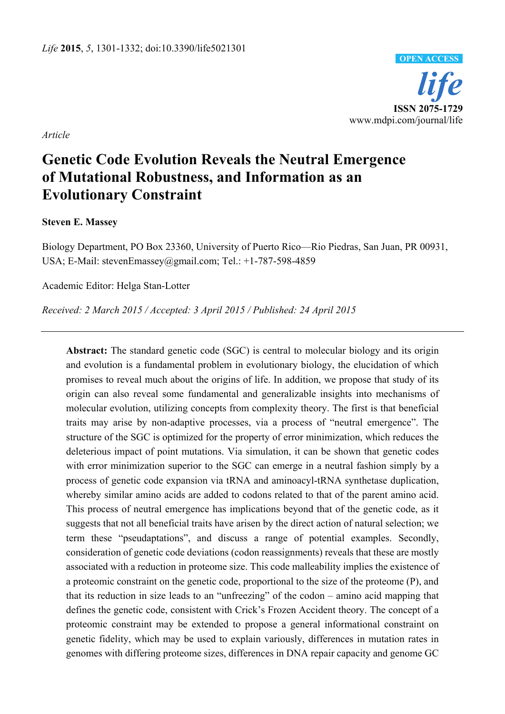

*Article* 

# **Genetic Code Evolution Reveals the Neutral Emergence of Mutational Robustness, and Information as an Evolutionary Constraint**

## **Steven E. Massey**

Biology Department, PO Box 23360, University of Puerto Rico—Rio Piedras, San Juan, PR 00931, USA; E-Mail: stevenEmassey@gmail.com; Tel.: +1-787-598-4859

Academic Editor: Helga Stan-Lotter

*Received: 2 March 2015 / Accepted: 3 April 2015 / Published: 24 April 2015* 

**Abstract:** The standard genetic code (SGC) is central to molecular biology and its origin and evolution is a fundamental problem in evolutionary biology, the elucidation of which promises to reveal much about the origins of life. In addition, we propose that study of its origin can also reveal some fundamental and generalizable insights into mechanisms of molecular evolution, utilizing concepts from complexity theory. The first is that beneficial traits may arise by non-adaptive processes, via a process of "neutral emergence". The structure of the SGC is optimized for the property of error minimization, which reduces the deleterious impact of point mutations. Via simulation, it can be shown that genetic codes with error minimization superior to the SGC can emerge in a neutral fashion simply by a process of genetic code expansion via tRNA and aminoacyl-tRNA synthetase duplication, whereby similar amino acids are added to codons related to that of the parent amino acid. This process of neutral emergence has implications beyond that of the genetic code, as it suggests that not all beneficial traits have arisen by the direct action of natural selection; we term these "pseudaptations", and discuss a range of potential examples. Secondly, consideration of genetic code deviations (codon reassignments) reveals that these are mostly associated with a reduction in proteome size. This code malleability implies the existence of a proteomic constraint on the genetic code, proportional to the size of the proteome (P), and that its reduction in size leads to an "unfreezing" of the codon – amino acid mapping that defines the genetic code, consistent with Crick's Frozen Accident theory. The concept of a proteomic constraint may be extended to propose a general informational constraint on genetic fidelity, which may be used to explain variously, differences in mutation rates in genomes with differing proteome sizes, differences in DNA repair capacity and genome GC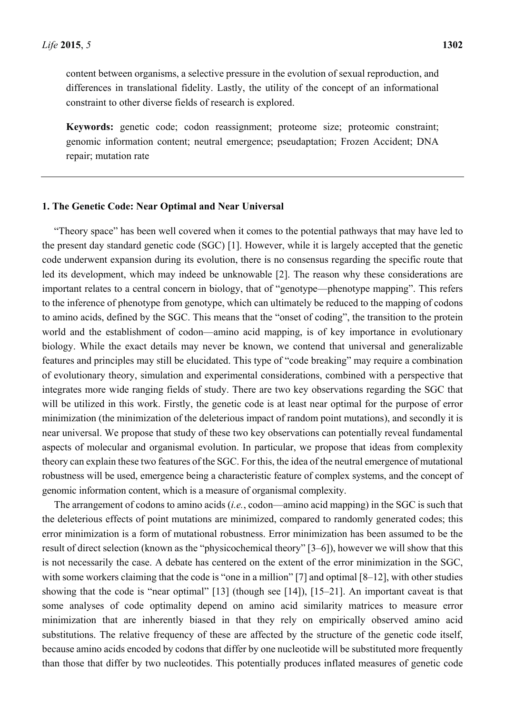content between organisms, a selective pressure in the evolution of sexual reproduction, and differences in translational fidelity. Lastly, the utility of the concept of an informational constraint to other diverse fields of research is explored.

**Keywords:** genetic code; codon reassignment; proteome size; proteomic constraint; genomic information content; neutral emergence; pseudaptation; Frozen Accident; DNA repair; mutation rate

#### **1. The Genetic Code: Near Optimal and Near Universal**

"Theory space" has been well covered when it comes to the potential pathways that may have led to the present day standard genetic code (SGC) [1]. However, while it is largely accepted that the genetic code underwent expansion during its evolution, there is no consensus regarding the specific route that led its development, which may indeed be unknowable [2]. The reason why these considerations are important relates to a central concern in biology, that of "genotype—phenotype mapping". This refers to the inference of phenotype from genotype, which can ultimately be reduced to the mapping of codons to amino acids, defined by the SGC. This means that the "onset of coding", the transition to the protein world and the establishment of codon—amino acid mapping, is of key importance in evolutionary biology. While the exact details may never be known, we contend that universal and generalizable features and principles may still be elucidated. This type of "code breaking" may require a combination of evolutionary theory, simulation and experimental considerations, combined with a perspective that integrates more wide ranging fields of study. There are two key observations regarding the SGC that will be utilized in this work. Firstly, the genetic code is at least near optimal for the purpose of error minimization (the minimization of the deleterious impact of random point mutations), and secondly it is near universal. We propose that study of these two key observations can potentially reveal fundamental aspects of molecular and organismal evolution. In particular, we propose that ideas from complexity theory can explain these two features of the SGC. For this, the idea of the neutral emergence of mutational robustness will be used, emergence being a characteristic feature of complex systems, and the concept of genomic information content, which is a measure of organismal complexity.

The arrangement of codons to amino acids (*i.e.*, codon—amino acid mapping) in the SGC is such that the deleterious effects of point mutations are minimized, compared to randomly generated codes; this error minimization is a form of mutational robustness. Error minimization has been assumed to be the result of direct selection (known as the "physicochemical theory" [3–6]), however we will show that this is not necessarily the case. A debate has centered on the extent of the error minimization in the SGC, with some workers claiming that the code is "one in a million" [7] and optimal [8–12], with other studies showing that the code is "near optimal" [13] (though see [14]), [15–21]. An important caveat is that some analyses of code optimality depend on amino acid similarity matrices to measure error minimization that are inherently biased in that they rely on empirically observed amino acid substitutions. The relative frequency of these are affected by the structure of the genetic code itself, because amino acids encoded by codons that differ by one nucleotide will be substituted more frequently than those that differ by two nucleotides. This potentially produces inflated measures of genetic code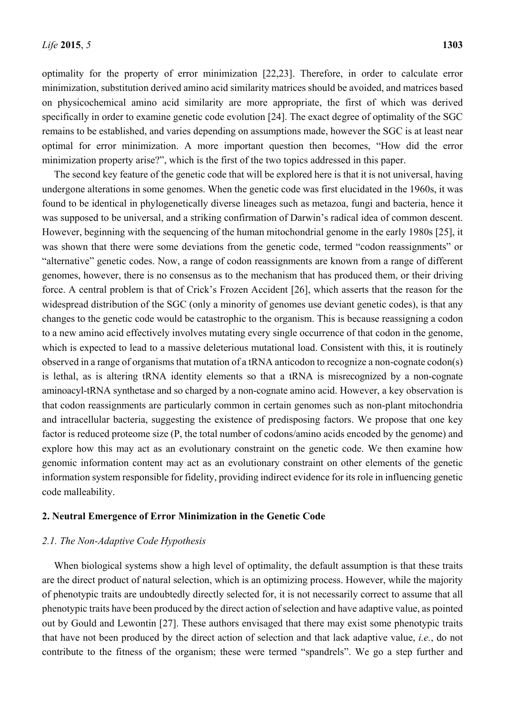optimality for the property of error minimization [22,23]. Therefore, in order to calculate error minimization, substitution derived amino acid similarity matrices should be avoided, and matrices based on physicochemical amino acid similarity are more appropriate, the first of which was derived specifically in order to examine genetic code evolution [24]. The exact degree of optimality of the SGC remains to be established, and varies depending on assumptions made, however the SGC is at least near optimal for error minimization. A more important question then becomes, "How did the error minimization property arise?", which is the first of the two topics addressed in this paper.

The second key feature of the genetic code that will be explored here is that it is not universal, having undergone alterations in some genomes. When the genetic code was first elucidated in the 1960s, it was found to be identical in phylogenetically diverse lineages such as metazoa, fungi and bacteria, hence it was supposed to be universal, and a striking confirmation of Darwin's radical idea of common descent. However, beginning with the sequencing of the human mitochondrial genome in the early 1980s [25], it was shown that there were some deviations from the genetic code, termed "codon reassignments" or "alternative" genetic codes. Now, a range of codon reassignments are known from a range of different genomes, however, there is no consensus as to the mechanism that has produced them, or their driving force. A central problem is that of Crick's Frozen Accident [26], which asserts that the reason for the widespread distribution of the SGC (only a minority of genomes use deviant genetic codes), is that any changes to the genetic code would be catastrophic to the organism. This is because reassigning a codon to a new amino acid effectively involves mutating every single occurrence of that codon in the genome, which is expected to lead to a massive deleterious mutational load. Consistent with this, it is routinely observed in a range of organisms that mutation of a tRNA anticodon to recognize a non-cognate codon(s) is lethal, as is altering tRNA identity elements so that a tRNA is misrecognized by a non-cognate aminoacyl-tRNA synthetase and so charged by a non-cognate amino acid. However, a key observation is that codon reassignments are particularly common in certain genomes such as non-plant mitochondria and intracellular bacteria, suggesting the existence of predisposing factors. We propose that one key factor is reduced proteome size (P, the total number of codons/amino acids encoded by the genome) and explore how this may act as an evolutionary constraint on the genetic code. We then examine how genomic information content may act as an evolutionary constraint on other elements of the genetic information system responsible for fidelity, providing indirect evidence for its role in influencing genetic code malleability.

### **2. Neutral Emergence of Error Minimization in the Genetic Code**

#### *2.1. The Non-Adaptive Code Hypothesis*

When biological systems show a high level of optimality, the default assumption is that these traits are the direct product of natural selection, which is an optimizing process. However, while the majority of phenotypic traits are undoubtedly directly selected for, it is not necessarily correct to assume that all phenotypic traits have been produced by the direct action of selection and have adaptive value, as pointed out by Gould and Lewontin [27]. These authors envisaged that there may exist some phenotypic traits that have not been produced by the direct action of selection and that lack adaptive value, *i.e.*, do not contribute to the fitness of the organism; these were termed "spandrels". We go a step further and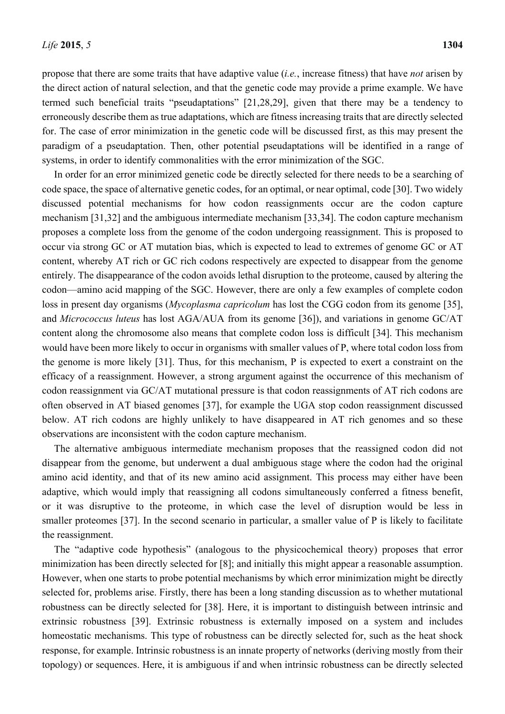propose that there are some traits that have adaptive value (*i.e.*, increase fitness) that have *not* arisen by the direct action of natural selection, and that the genetic code may provide a prime example. We have termed such beneficial traits "pseudaptations" [21,28,29], given that there may be a tendency to erroneously describe them as true adaptations, which are fitness increasing traits that are directly selected for. The case of error minimization in the genetic code will be discussed first, as this may present the paradigm of a pseudaptation. Then, other potential pseudaptations will be identified in a range of systems, in order to identify commonalities with the error minimization of the SGC.

In order for an error minimized genetic code be directly selected for there needs to be a searching of code space, the space of alternative genetic codes, for an optimal, or near optimal, code [30]. Two widely discussed potential mechanisms for how codon reassignments occur are the codon capture mechanism [31,32] and the ambiguous intermediate mechanism [33,34]. The codon capture mechanism proposes a complete loss from the genome of the codon undergoing reassignment. This is proposed to occur via strong GC or AT mutation bias, which is expected to lead to extremes of genome GC or AT content, whereby AT rich or GC rich codons respectively are expected to disappear from the genome entirely. The disappearance of the codon avoids lethal disruption to the proteome, caused by altering the codon—amino acid mapping of the SGC. However, there are only a few examples of complete codon loss in present day organisms (*Mycoplasma capricolum* has lost the CGG codon from its genome [35], and *Micrococcus luteus* has lost AGA/AUA from its genome [36]), and variations in genome GC/AT content along the chromosome also means that complete codon loss is difficult [34]. This mechanism would have been more likely to occur in organisms with smaller values of P, where total codon loss from the genome is more likely [31]. Thus, for this mechanism, P is expected to exert a constraint on the efficacy of a reassignment. However, a strong argument against the occurrence of this mechanism of codon reassignment via GC/AT mutational pressure is that codon reassignments of AT rich codons are often observed in AT biased genomes [37], for example the UGA stop codon reassignment discussed below. AT rich codons are highly unlikely to have disappeared in AT rich genomes and so these observations are inconsistent with the codon capture mechanism.

The alternative ambiguous intermediate mechanism proposes that the reassigned codon did not disappear from the genome, but underwent a dual ambiguous stage where the codon had the original amino acid identity, and that of its new amino acid assignment. This process may either have been adaptive, which would imply that reassigning all codons simultaneously conferred a fitness benefit, or it was disruptive to the proteome, in which case the level of disruption would be less in smaller proteomes [37]. In the second scenario in particular, a smaller value of P is likely to facilitate the reassignment.

The "adaptive code hypothesis" (analogous to the physicochemical theory) proposes that error minimization has been directly selected for [8]; and initially this might appear a reasonable assumption. However, when one starts to probe potential mechanisms by which error minimization might be directly selected for, problems arise. Firstly, there has been a long standing discussion as to whether mutational robustness can be directly selected for [38]. Here, it is important to distinguish between intrinsic and extrinsic robustness [39]. Extrinsic robustness is externally imposed on a system and includes homeostatic mechanisms. This type of robustness can be directly selected for, such as the heat shock response, for example. Intrinsic robustness is an innate property of networks (deriving mostly from their topology) or sequences. Here, it is ambiguous if and when intrinsic robustness can be directly selected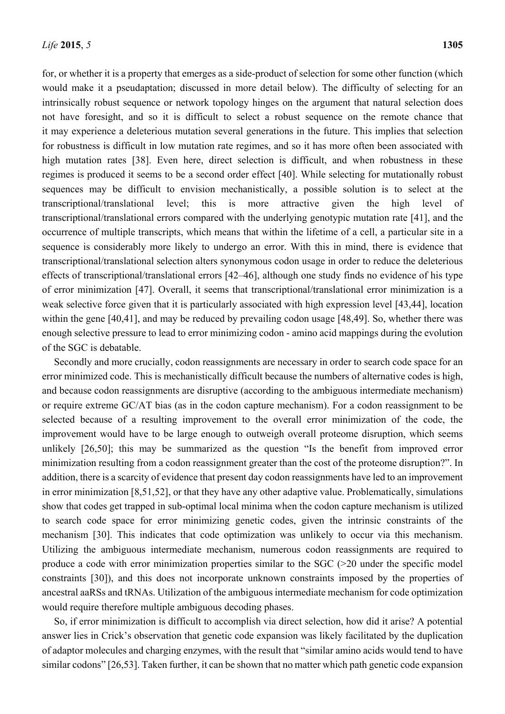for, or whether it is a property that emerges as a side-product of selection for some other function (which would make it a pseudaptation; discussed in more detail below). The difficulty of selecting for an intrinsically robust sequence or network topology hinges on the argument that natural selection does not have foresight, and so it is difficult to select a robust sequence on the remote chance that it may experience a deleterious mutation several generations in the future. This implies that selection for robustness is difficult in low mutation rate regimes, and so it has more often been associated with high mutation rates [38]. Even here, direct selection is difficult, and when robustness in these regimes is produced it seems to be a second order effect [40]. While selecting for mutationally robust sequences may be difficult to envision mechanistically, a possible solution is to select at the transcriptional/translational level; this is more attractive given the high level of transcriptional/translational errors compared with the underlying genotypic mutation rate [41], and the occurrence of multiple transcripts, which means that within the lifetime of a cell, a particular site in a sequence is considerably more likely to undergo an error. With this in mind, there is evidence that transcriptional/translational selection alters synonymous codon usage in order to reduce the deleterious effects of transcriptional/translational errors [42–46], although one study finds no evidence of his type of error minimization [47]. Overall, it seems that transcriptional/translational error minimization is a weak selective force given that it is particularly associated with high expression level [43,44], location within the gene [40,41], and may be reduced by prevailing codon usage [48,49]. So, whether there was enough selective pressure to lead to error minimizing codon - amino acid mappings during the evolution of the SGC is debatable.

Secondly and more crucially, codon reassignments are necessary in order to search code space for an error minimized code. This is mechanistically difficult because the numbers of alternative codes is high, and because codon reassignments are disruptive (according to the ambiguous intermediate mechanism) or require extreme GC/AT bias (as in the codon capture mechanism). For a codon reassignment to be selected because of a resulting improvement to the overall error minimization of the code, the improvement would have to be large enough to outweigh overall proteome disruption, which seems unlikely [26,50]; this may be summarized as the question "Is the benefit from improved error minimization resulting from a codon reassignment greater than the cost of the proteome disruption?". In addition, there is a scarcity of evidence that present day codon reassignments have led to an improvement in error minimization [8,51,52], or that they have any other adaptive value. Problematically, simulations show that codes get trapped in sub-optimal local minima when the codon capture mechanism is utilized to search code space for error minimizing genetic codes, given the intrinsic constraints of the mechanism [30]. This indicates that code optimization was unlikely to occur via this mechanism. Utilizing the ambiguous intermediate mechanism, numerous codon reassignments are required to produce a code with error minimization properties similar to the  $SGC$  ( $>$ 20 under the specific model constraints [30]), and this does not incorporate unknown constraints imposed by the properties of ancestral aaRSs and tRNAs. Utilization of the ambiguous intermediate mechanism for code optimization would require therefore multiple ambiguous decoding phases.

So, if error minimization is difficult to accomplish via direct selection, how did it arise? A potential answer lies in Crick's observation that genetic code expansion was likely facilitated by the duplication of adaptor molecules and charging enzymes, with the result that "similar amino acids would tend to have similar codons" [26,53]. Taken further, it can be shown that no matter which path genetic code expansion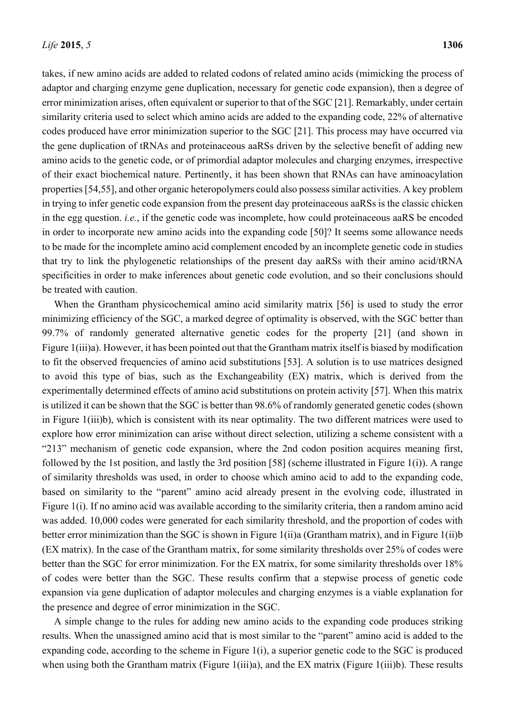takes, if new amino acids are added to related codons of related amino acids (mimicking the process of adaptor and charging enzyme gene duplication, necessary for genetic code expansion), then a degree of error minimization arises, often equivalent or superior to that of the SGC [21]. Remarkably, under certain similarity criteria used to select which amino acids are added to the expanding code, 22% of alternative codes produced have error minimization superior to the SGC [21]. This process may have occurred via the gene duplication of tRNAs and proteinaceous aaRSs driven by the selective benefit of adding new amino acids to the genetic code, or of primordial adaptor molecules and charging enzymes, irrespective of their exact biochemical nature. Pertinently, it has been shown that RNAs can have aminoacylation properties [54,55], and other organic heteropolymers could also possess similar activities. A key problem in trying to infer genetic code expansion from the present day proteinaceous aaRSs is the classic chicken in the egg question. *i.e.*, if the genetic code was incomplete, how could proteinaceous aaRS be encoded in order to incorporate new amino acids into the expanding code [50]? It seems some allowance needs to be made for the incomplete amino acid complement encoded by an incomplete genetic code in studies that try to link the phylogenetic relationships of the present day aaRSs with their amino acid/tRNA specificities in order to make inferences about genetic code evolution, and so their conclusions should be treated with caution.

When the Grantham physicochemical amino acid similarity matrix [56] is used to study the error minimizing efficiency of the SGC, a marked degree of optimality is observed, with the SGC better than 99.7% of randomly generated alternative genetic codes for the property [21] (and shown in Figure 1(iii)a). However, it has been pointed out that the Grantham matrix itself is biased by modification to fit the observed frequencies of amino acid substitutions [53]. A solution is to use matrices designed to avoid this type of bias, such as the Exchangeability (EX) matrix, which is derived from the experimentally determined effects of amino acid substitutions on protein activity [57]. When this matrix is utilized it can be shown that the SGC is better than 98.6% of randomly generated genetic codes (shown in Figure 1(iii)b), which is consistent with its near optimality. The two different matrices were used to explore how error minimization can arise without direct selection, utilizing a scheme consistent with a "213" mechanism of genetic code expansion, where the 2nd codon position acquires meaning first, followed by the 1st position, and lastly the 3rd position [58] (scheme illustrated in Figure 1(i)). A range of similarity thresholds was used, in order to choose which amino acid to add to the expanding code, based on similarity to the "parent" amino acid already present in the evolving code, illustrated in Figure 1(i). If no amino acid was available according to the similarity criteria, then a random amino acid was added. 10,000 codes were generated for each similarity threshold, and the proportion of codes with better error minimization than the SGC is shown in Figure 1(ii)a (Grantham matrix), and in Figure 1(ii)b (EX matrix). In the case of the Grantham matrix, for some similarity thresholds over 25% of codes were better than the SGC for error minimization. For the EX matrix, for some similarity thresholds over 18% of codes were better than the SGC. These results confirm that a stepwise process of genetic code expansion via gene duplication of adaptor molecules and charging enzymes is a viable explanation for the presence and degree of error minimization in the SGC.

A simple change to the rules for adding new amino acids to the expanding code produces striking results. When the unassigned amino acid that is most similar to the "parent" amino acid is added to the expanding code, according to the scheme in Figure 1(i), a superior genetic code to the SGC is produced when using both the Grantham matrix (Figure 1(iii)a), and the EX matrix (Figure 1(iii)b). These results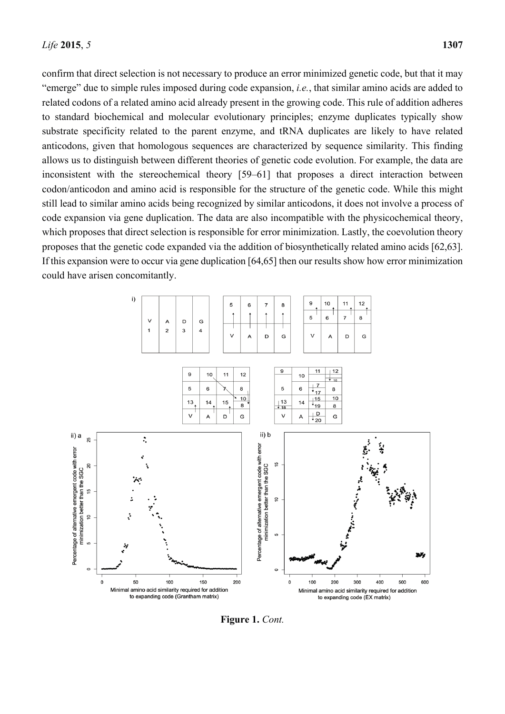confirm that direct selection is not necessary to produce an error minimized genetic code, but that it may "emerge" due to simple rules imposed during code expansion, *i.e.*, that similar amino acids are added to related codons of a related amino acid already present in the growing code. This rule of addition adheres to standard biochemical and molecular evolutionary principles; enzyme duplicates typically show substrate specificity related to the parent enzyme, and tRNA duplicates are likely to have related anticodons, given that homologous sequences are characterized by sequence similarity. This finding allows us to distinguish between different theories of genetic code evolution. For example, the data are inconsistent with the stereochemical theory [59–61] that proposes a direct interaction between codon/anticodon and amino acid is responsible for the structure of the genetic code. While this might still lead to similar amino acids being recognized by similar anticodons, it does not involve a process of code expansion via gene duplication. The data are also incompatible with the physicochemical theory, which proposes that direct selection is responsible for error minimization. Lastly, the coevolution theory proposes that the genetic code expanded via the addition of biosynthetically related amino acids [62,63]. If this expansion were to occur via gene duplication [64,65] then our results show how error minimization could have arisen concomitantly.



**Figure 1.** *Cont.*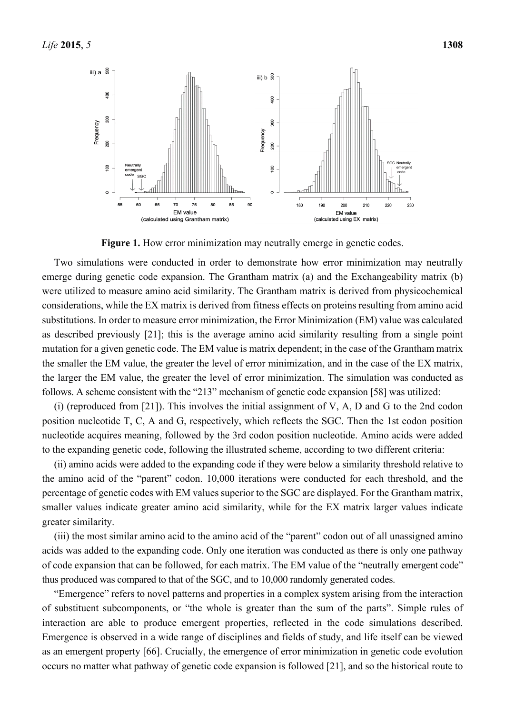

**Figure 1.** How error minimization may neutrally emerge in genetic codes.

Two simulations were conducted in order to demonstrate how error minimization may neutrally emerge during genetic code expansion. The Grantham matrix (a) and the Exchangeability matrix (b) were utilized to measure amino acid similarity. The Grantham matrix is derived from physicochemical considerations, while the EX matrix is derived from fitness effects on proteins resulting from amino acid substitutions. In order to measure error minimization, the Error Minimization (EM) value was calculated as described previously [21]; this is the average amino acid similarity resulting from a single point mutation for a given genetic code. The EM value is matrix dependent; in the case of the Grantham matrix the smaller the EM value, the greater the level of error minimization, and in the case of the EX matrix, the larger the EM value, the greater the level of error minimization. The simulation was conducted as follows. A scheme consistent with the "213" mechanism of genetic code expansion [58] was utilized:

(i) (reproduced from [21]). This involves the initial assignment of V, A, D and G to the 2nd codon position nucleotide T, C, A and G, respectively, which reflects the SGC. Then the 1st codon position nucleotide acquires meaning, followed by the 3rd codon position nucleotide. Amino acids were added to the expanding genetic code, following the illustrated scheme, according to two different criteria:

(ii) amino acids were added to the expanding code if they were below a similarity threshold relative to the amino acid of the "parent" codon. 10,000 iterations were conducted for each threshold, and the percentage of genetic codes with EM values superior to the SGC are displayed. For the Grantham matrix, smaller values indicate greater amino acid similarity, while for the EX matrix larger values indicate greater similarity.

(iii) the most similar amino acid to the amino acid of the "parent" codon out of all unassigned amino acids was added to the expanding code. Only one iteration was conducted as there is only one pathway of code expansion that can be followed, for each matrix. The EM value of the "neutrally emergent code" thus produced was compared to that of the SGC, and to 10,000 randomly generated codes.

"Emergence" refers to novel patterns and properties in a complex system arising from the interaction of substituent subcomponents, or "the whole is greater than the sum of the parts". Simple rules of interaction are able to produce emergent properties, reflected in the code simulations described. Emergence is observed in a wide range of disciplines and fields of study, and life itself can be viewed as an emergent property [66]. Crucially, the emergence of error minimization in genetic code evolution occurs no matter what pathway of genetic code expansion is followed [21], and so the historical route to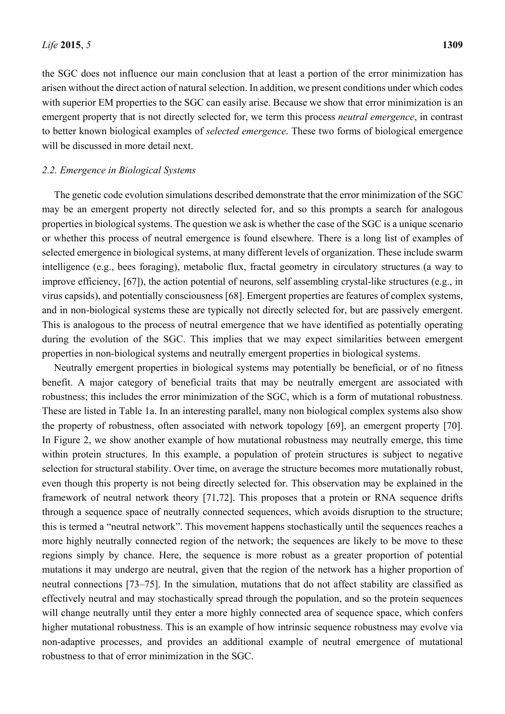the SGC does not influence our main conclusion that at least a portion of the error minimization has arisen without the direct action of natural selection. In addition, we present conditions under which codes with superior EM properties to the SGC can easily arise. Because we show that error minimization is an emergent property that is not directly selected for, we term this process *neutral emergence*, in contrast to better known biological examples of *selected emergence*. These two forms of biological emergence will be discussed in more detail next.

#### *2.2. Emergence in Biological Systems*

The genetic code evolution simulations described demonstrate that the error minimization of the SGC may be an emergent property not directly selected for, and so this prompts a search for analogous properties in biological systems. The question we ask is whether the case of the SGC is a unique scenario or whether this process of neutral emergence is found elsewhere. There is a long list of examples of selected emergence in biological systems, at many different levels of organization. These include swarm intelligence (e.g., bees foraging), metabolic flux, fractal geometry in circulatory structures (a way to improve efficiency, [67]), the action potential of neurons, self assembling crystal-like structures (e.g., in virus capsids), and potentially consciousness [68]. Emergent properties are features of complex systems, and in non-biological systems these are typically not directly selected for, but are passively emergent. This is analogous to the process of neutral emergence that we have identified as potentially operating during the evolution of the SGC. This implies that we may expect similarities between emergent properties in non-biological systems and neutrally emergent properties in biological systems.

Neutrally emergent properties in biological systems may potentially be beneficial, or of no fitness benefit. A major category of beneficial traits that may be neutrally emergent are associated with robustness; this includes the error minimization of the SGC, which is a form of mutational robustness. These are listed in Table 1a. In an interesting parallel, many non biological complex systems also show the property of robustness, often associated with network topology [69], an emergent property [70]. In Figure 2, we show another example of how mutational robustness may neutrally emerge, this time within protein structures. In this example, a population of protein structures is subject to negative selection for structural stability. Over time, on average the structure becomes more mutationally robust, even though this property is not being directly selected for. This observation may be explained in the framework of neutral network theory [71,72]. This proposes that a protein or RNA sequence drifts through a sequence space of neutrally connected sequences, which avoids disruption to the structure; this is termed a "neutral network". This movement happens stochastically until the sequences reaches a more highly neutrally connected region of the network; the sequences are likely to be move to these regions simply by chance. Here, the sequence is more robust as a greater proportion of potential mutations it may undergo are neutral, given that the region of the network has a higher proportion of neutral connections [73–75]. In the simulation, mutations that do not affect stability are classified as effectively neutral and may stochastically spread through the population, and so the protein sequences will change neutrally until they enter a more highly connected area of sequence space, which confers higher mutational robustness. This is an example of how intrinsic sequence robustness may evolve via non-adaptive processes, and provides an additional example of neutral emergence of mutational robustness to that of error minimization in the SGC.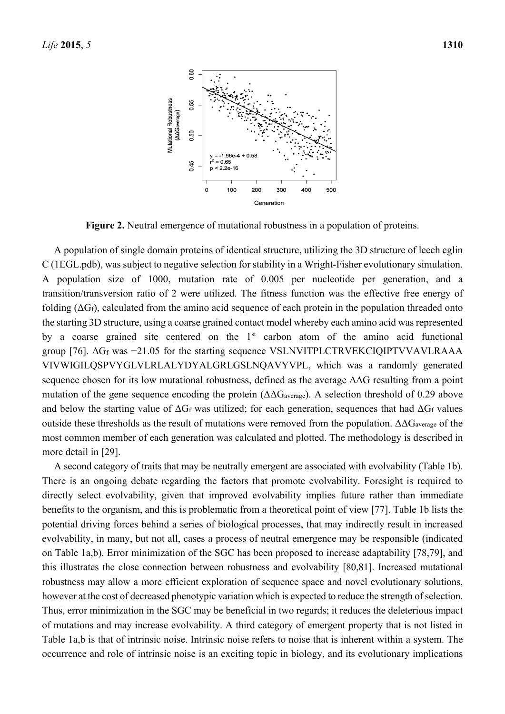

**Figure 2.** Neutral emergence of mutational robustness in a population of proteins.

A population of single domain proteins of identical structure, utilizing the 3D structure of leech eglin C (1EGL.pdb), was subject to negative selection for stability in a Wright-Fisher evolutionary simulation. A population size of 1000, mutation rate of 0.005 per nucleotide per generation, and a transition/transversion ratio of 2 were utilized. The fitness function was the effective free energy of folding  $(\Delta G_f)$ , calculated from the amino acid sequence of each protein in the population threaded onto the starting 3D structure, using a coarse grained contact model whereby each amino acid was represented by a coarse grained site centered on the 1<sup>st</sup> carbon atom of the amino acid functional group [76]. ΔGf was −21.05 for the starting sequence VSLNVITPLCTRVEKCIQIPTVVAVLRAAA VIVWIGILQSPVYGLVLRLALYDYALGRLGSLNQAVYVPL, which was a randomly generated sequence chosen for its low mutational robustness, defined as the average ΔΔG resulting from a point mutation of the gene sequence encoding the protein  $(\Delta\Delta G_{\text{average}})$ . A selection threshold of 0.29 above and below the starting value of  $\Delta G_f$  was utilized; for each generation, sequences that had  $\Delta G_f$  values outside these thresholds as the result of mutations were removed from the population.  $ΔΔG<sub>average</sub>$  of the most common member of each generation was calculated and plotted. The methodology is described in more detail in [29].

A second category of traits that may be neutrally emergent are associated with evolvability (Table 1b). There is an ongoing debate regarding the factors that promote evolvability. Foresight is required to directly select evolvability, given that improved evolvability implies future rather than immediate benefits to the organism, and this is problematic from a theoretical point of view [77]. Table 1b lists the potential driving forces behind a series of biological processes, that may indirectly result in increased evolvability, in many, but not all, cases a process of neutral emergence may be responsible (indicated on Table 1a,b). Error minimization of the SGC has been proposed to increase adaptability [78,79], and this illustrates the close connection between robustness and evolvability [80,81]. Increased mutational robustness may allow a more efficient exploration of sequence space and novel evolutionary solutions, however at the cost of decreased phenotypic variation which is expected to reduce the strength of selection. Thus, error minimization in the SGC may be beneficial in two regards; it reduces the deleterious impact of mutations and may increase evolvability. A third category of emergent property that is not listed in Table 1a,b is that of intrinsic noise. Intrinsic noise refers to noise that is inherent within a system. The occurrence and role of intrinsic noise is an exciting topic in biology, and its evolutionary implications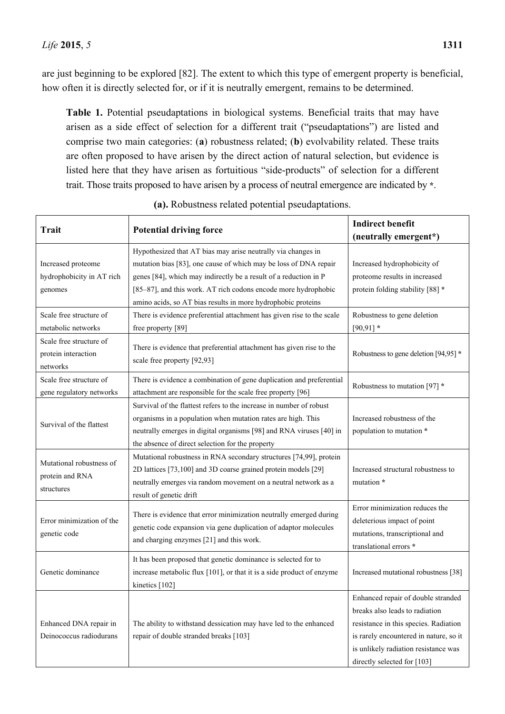are just beginning to be explored [82]. The extent to which this type of emergent property is beneficial, how often it is directly selected for, or if it is neutrally emergent, remains to be determined.

**Table 1.** Potential pseudaptations in biological systems. Beneficial traits that may have arisen as a side effect of selection for a different trait ("pseudaptations") are listed and comprise two main categories: (**a**) robustness related; (**b**) evolvability related. These traits are often proposed to have arisen by the direct action of natural selection, but evidence is listed here that they have arisen as fortuitious "side-products" of selection for a different trait. Those traits proposed to have arisen by a process of neutral emergence are indicated by **\***.

| <b>Trait</b>                                               | <b>Potential driving force</b>                                                                                                                                                                                                                                                                                                         | <b>Indirect benefit</b><br>(neutrally emergent*)                                                                                                                                                                               |  |
|------------------------------------------------------------|----------------------------------------------------------------------------------------------------------------------------------------------------------------------------------------------------------------------------------------------------------------------------------------------------------------------------------------|--------------------------------------------------------------------------------------------------------------------------------------------------------------------------------------------------------------------------------|--|
| Increased proteome<br>hydrophobicity in AT rich<br>genomes | Hypothesized that AT bias may arise neutrally via changes in<br>mutation bias [83], one cause of which may be loss of DNA repair<br>genes [84], which may indirectly be a result of a reduction in P<br>[85-87], and this work. AT rich codons encode more hydrophobic<br>amino acids, so AT bias results in more hydrophobic proteins | Increased hydrophobicity of<br>proteome results in increased<br>protein folding stability [88] *                                                                                                                               |  |
| Scale free structure of<br>metabolic networks              | There is evidence preferential attachment has given rise to the scale<br>free property [89]                                                                                                                                                                                                                                            | Robustness to gene deletion<br>$[90, 91]$ *                                                                                                                                                                                    |  |
| Scale free structure of<br>protein interaction<br>networks | There is evidence that preferential attachment has given rise to the<br>scale free property [92,93]                                                                                                                                                                                                                                    | Robustness to gene deletion [94,95] *                                                                                                                                                                                          |  |
| Scale free structure of<br>gene regulatory networks        | There is evidence a combination of gene duplication and preferential<br>attachment are responsible for the scale free property [96]                                                                                                                                                                                                    | Robustness to mutation [97] *                                                                                                                                                                                                  |  |
| Survival of the flattest                                   | Survival of the flattest refers to the increase in number of robust<br>organisms in a population when mutation rates are high. This<br>neutrally emerges in digital organisms [98] and RNA viruses [40] in<br>the absence of direct selection for the property                                                                         | Increased robustness of the<br>population to mutation *                                                                                                                                                                        |  |
| Mutational robustness of<br>protein and RNA<br>structures  | Mutational robustness in RNA secondary structures [74,99], protein<br>2D lattices [73,100] and 3D coarse grained protein models [29]<br>neutrally emerges via random movement on a neutral network as a<br>result of genetic drift                                                                                                     | Increased structural robustness to<br>mutation *                                                                                                                                                                               |  |
| Error minimization of the<br>genetic code                  | There is evidence that error minimization neutrally emerged during<br>genetic code expansion via gene duplication of adaptor molecules<br>and charging enzymes [21] and this work.                                                                                                                                                     | Error minimization reduces the<br>deleterious impact of point<br>mutations, transcriptional and<br>translational errors *                                                                                                      |  |
| Genetic dominance                                          | It has been proposed that genetic dominance is selected for to<br>increase metabolic flux [101], or that it is a side product of enzyme<br>kinetics [102]                                                                                                                                                                              | Increased mutational robustness [38]                                                                                                                                                                                           |  |
| Enhanced DNA repair in<br>Deinococcus radiodurans          | The ability to withstand dessication may have led to the enhanced<br>repair of double stranded breaks [103]                                                                                                                                                                                                                            | Enhanced repair of double stranded<br>breaks also leads to radiation<br>resistance in this species. Radiation<br>is rarely encountered in nature, so it<br>is unlikely radiation resistance was<br>directly selected for [103] |  |

**(a).** Robustness related potential pseudaptations.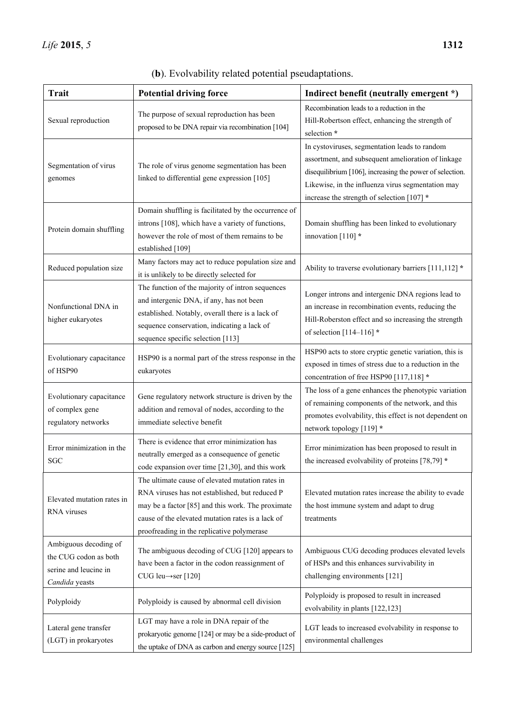| <b>Trait</b>                                                                              | <b>Potential driving force</b>                                                                                                                                                                                                                             | Indirect benefit (neutrally emergent *)                                                                                                                                                                                                                            |
|-------------------------------------------------------------------------------------------|------------------------------------------------------------------------------------------------------------------------------------------------------------------------------------------------------------------------------------------------------------|--------------------------------------------------------------------------------------------------------------------------------------------------------------------------------------------------------------------------------------------------------------------|
| Sexual reproduction                                                                       | The purpose of sexual reproduction has been<br>proposed to be DNA repair via recombination [104]                                                                                                                                                           | Recombination leads to a reduction in the<br>Hill-Robertson effect, enhancing the strength of<br>selection *                                                                                                                                                       |
| Segmentation of virus<br>genomes                                                          | The role of virus genome segmentation has been<br>linked to differential gene expression [105]                                                                                                                                                             | In cystoviruses, segmentation leads to random<br>assortment, and subsequent amelioration of linkage<br>disequilibrium [106], increasing the power of selection.<br>Likewise, in the influenza virus segmentation may<br>increase the strength of selection [107] * |
| Protein domain shuffling                                                                  | Domain shuffling is facilitated by the occurrence of<br>introns [108], which have a variety of functions,<br>however the role of most of them remains to be<br>established [109]                                                                           | Domain shuffling has been linked to evolutionary<br>innovation $[110]$ *                                                                                                                                                                                           |
| Reduced population size                                                                   | Many factors may act to reduce population size and<br>it is unlikely to be directly selected for                                                                                                                                                           | Ability to traverse evolutionary barriers [111,112] *                                                                                                                                                                                                              |
| Nonfunctional DNA in<br>higher eukaryotes                                                 | The function of the majority of intron sequences<br>and intergenic DNA, if any, has not been<br>established. Notably, overall there is a lack of<br>sequence conservation, indicating a lack of<br>sequence specific selection [113]                       | Longer introns and intergenic DNA regions lead to<br>an increase in recombination events, reducing the<br>Hill-Roberston effect and so increasing the strength<br>of selection $[114-116]$ *                                                                       |
| Evolutionary capacitance<br>of HSP90                                                      | HSP90 is a normal part of the stress response in the<br>eukaryotes                                                                                                                                                                                         | HSP90 acts to store cryptic genetic variation, this is<br>exposed in times of stress due to a reduction in the<br>concentration of free HSP90 [117,118] *                                                                                                          |
| Evolutionary capacitance<br>of complex gene<br>regulatory networks                        | Gene regulatory network structure is driven by the<br>addition and removal of nodes, according to the<br>immediate selective benefit                                                                                                                       | The loss of a gene enhances the phenotypic variation<br>of remaining components of the network, and this<br>promotes evolvability, this effect is not dependent on<br>network topology [119] *                                                                     |
| Error minimization in the<br><b>SGC</b>                                                   | There is evidence that error minimization has<br>neutrally emerged as a consequence of genetic<br>code expansion over time [21,30], and this work                                                                                                          | Error minimization has been proposed to result in<br>the increased evolvability of proteins [78,79] *                                                                                                                                                              |
| Elevated mutation rates in<br><b>RNA</b> viruses                                          | The ultimate cause of elevated mutation rates in<br>RNA viruses has not established, but reduced P<br>may be a factor [85] and this work. The proximate<br>cause of the elevated mutation rates is a lack of<br>proofreading in the replicative polymerase | Elevated mutation rates increase the ability to evade<br>the host immune system and adapt to drug<br>treatments                                                                                                                                                    |
| Ambiguous decoding of<br>the CUG codon as both<br>serine and leucine in<br>Candida yeasts | The ambiguous decoding of CUG [120] appears to<br>have been a factor in the codon reassignment of<br>CUG leu $\rightarrow$ ser [120]                                                                                                                       | Ambiguous CUG decoding produces elevated levels<br>of HSPs and this enhances survivability in<br>challenging environments [121]                                                                                                                                    |
| Polyploidy                                                                                | Polyploidy is caused by abnormal cell division                                                                                                                                                                                                             | Polyploidy is proposed to result in increased<br>evolvability in plants [122,123]                                                                                                                                                                                  |
| Lateral gene transfer<br>(LGT) in prokaryotes                                             | LGT may have a role in DNA repair of the<br>prokaryotic genome [124] or may be a side-product of<br>the uptake of DNA as carbon and energy source [125]                                                                                                    | LGT leads to increased evolvability in response to<br>environmental challenges                                                                                                                                                                                     |

(**b**). Evolvability related potential pseudaptations.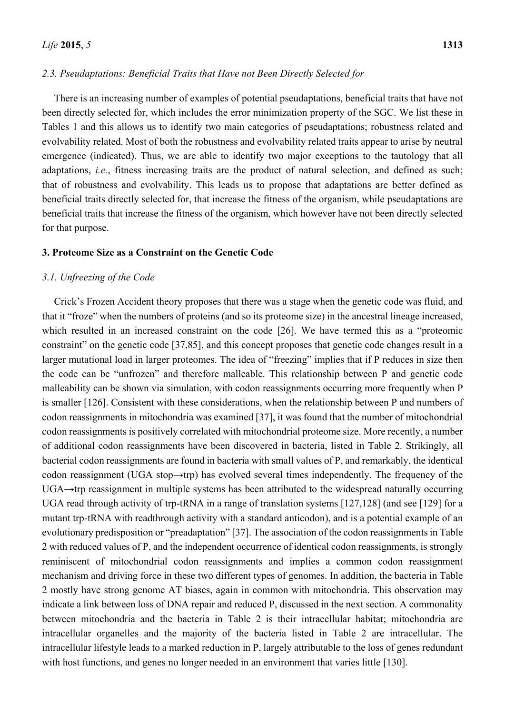#### *2.3. Pseudaptations: Beneficial Traits that Have not Been Directly Selected for*

There is an increasing number of examples of potential pseudaptations, beneficial traits that have not been directly selected for, which includes the error minimization property of the SGC. We list these in Tables 1 and this allows us to identify two main categories of pseudaptations; robustness related and evolvability related. Most of both the robustness and evolvability related traits appear to arise by neutral emergence (indicated). Thus, we are able to identify two major exceptions to the tautology that all adaptations, *i.e.*, fitness increasing traits are the product of natural selection, and defined as such; that of robustness and evolvability. This leads us to propose that adaptations are better defined as beneficial traits directly selected for, that increase the fitness of the organism, while pseudaptations are beneficial traits that increase the fitness of the organism, which however have not been directly selected for that purpose.

#### **3. Proteome Size as a Constraint on the Genetic Code**

### *3.1. Unfreezing of the Code*

Crick's Frozen Accident theory proposes that there was a stage when the genetic code was fluid, and that it "froze" when the numbers of proteins (and so its proteome size) in the ancestral lineage increased, which resulted in an increased constraint on the code [26]. We have termed this as a "proteomic constraint" on the genetic code [37,85], and this concept proposes that genetic code changes result in a larger mutational load in larger proteomes. The idea of "freezing" implies that if P reduces in size then the code can be "unfrozen" and therefore malleable. This relationship between P and genetic code malleability can be shown via simulation, with codon reassignments occurring more frequently when P is smaller [126]. Consistent with these considerations, when the relationship between P and numbers of codon reassignments in mitochondria was examined [37], it was found that the number of mitochondrial codon reassignments is positively correlated with mitochondrial proteome size. More recently, a number of additional codon reassignments have been discovered in bacteria, listed in Table 2. Strikingly, all bacterial codon reassignments are found in bacteria with small values of P, and remarkably, the identical codon reassignment (UGA stop→trp) has evolved several times independently. The frequency of the UGA→trp reassignment in multiple systems has been attributed to the widespread naturally occurring UGA read through activity of trp-tRNA in a range of translation systems [127,128] (and see [129] for a mutant trp-tRNA with readthrough activity with a standard anticodon), and is a potential example of an evolutionary predisposition or "preadaptation" [37]. The association of the codon reassignments in Table 2 with reduced values of P, and the independent occurrence of identical codon reassignments, is strongly reminiscent of mitochondrial codon reassignments and implies a common codon reassignment mechanism and driving force in these two different types of genomes. In addition, the bacteria in Table 2 mostly have strong genome AT biases, again in common with mitochondria. This observation may indicate a link between loss of DNA repair and reduced P, discussed in the next section. A commonality between mitochondria and the bacteria in Table 2 is their intracellular habitat; mitochondria are intracellular organelles and the majority of the bacteria listed in Table 2 are intracellular. The intracellular lifestyle leads to a marked reduction in P, largely attributable to the loss of genes redundant with host functions, and genes no longer needed in an environment that varies little [130].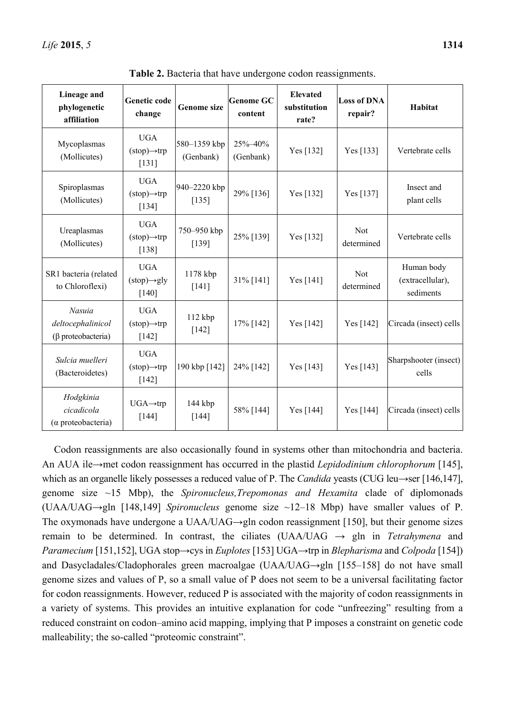| Lineage and<br>phylogenetic<br>affiliation           | Genetic code<br>change                                           | <b>Genome size</b>        | <b>Genome GC</b><br>content | <b>Elevated</b><br>substitution<br>rate? | <b>Loss of DNA</b><br>repair? | Habitat                                     |
|------------------------------------------------------|------------------------------------------------------------------|---------------------------|-----------------------------|------------------------------------------|-------------------------------|---------------------------------------------|
| Mycoplasmas<br>(Mollicutes)                          | <b>UGA</b><br>$(\text{stop}) \rightarrow \text{trp})$<br>$[131]$ | 580-1359 kbp<br>(Genbank) | 25%-40%<br>(Genbank)        | Yes [132]                                | Yes [133]                     | Vertebrate cells                            |
| Spiroplasmas<br>(Mollicutes)                         | <b>UGA</b><br>$(\text{stop}) \rightarrow \text{trp}$<br>[134]    | 940-2220 kbp<br>[135]     | 29% [136]                   | Yes [132]                                | Yes [137]                     | Insect and<br>plant cells                   |
| Ureaplasmas<br>(Mollicutes)                          | <b>UGA</b><br>$(\text{stop}) \rightarrow \text{trp})$<br>$[138]$ | 750-950 kbp<br>[139]      | 25% [139]                   | Yes [132]                                | <b>Not</b><br>determined      | Vertebrate cells                            |
| SR1 bacteria (related<br>to Chloroflexi)             | <b>UGA</b><br>$(\text{stop}) \rightarrow \text{gly}$<br>$[140]$  | 1178 kbp<br>$[141]$       | 31% [141]                   | Yes [141]                                | <b>Not</b><br>determined      | Human body<br>(extracellular),<br>sediments |
| Nasuia<br>deltocephalinicol<br>(β proteobacteria)    | <b>UGA</b><br>$(\text{stop}) \rightarrow \text{trp})$<br>$[142]$ | 112 kbp<br>$[142]$        | 17% [142]                   | Yes [142]                                | Yes [142]                     | Circada (insect) cells                      |
| Sulcia muelleri<br>(Bacteroidetes)                   | <b>UGA</b><br>$(\text{stop}) \rightarrow \text{trp})$<br>$[142]$ | 190 kbp [142]             | 24% [142]                   | Yes [143]                                | Yes [143]                     | Sharpshooter (insect)<br>cells              |
| Hodgkinia<br>cicadicola<br>$(\alpha$ proteobacteria) | $UGA \rightarrow trp$<br>$[144]$                                 | 144 kbp<br>$[144]$        | 58% [144]                   | Yes [144]                                | Yes [144]                     | Circada (insect) cells                      |

**Table 2.** Bacteria that have undergone codon reassignments.

Codon reassignments are also occasionally found in systems other than mitochondria and bacteria. An AUA ile→met codon reassignment has occurred in the plastid *Lepidodinium chlorophorum* [145], which as an organelle likely possesses a reduced value of P. The *Candida* yeasts (CUG leu→ser [146,147], genome size ~15 Mbp), the *Spironucleus,Trepomonas and Hexamita* clade of diplomonads (UAA/UAG→gln [148,149] *Spironucleus* genome size ~12–18 Mbp) have smaller values of P. The oxymonads have undergone a UAA/UAG→gln codon reassignment [150], but their genome sizes remain to be determined. In contrast, the ciliates (UAA/UAG  $\rightarrow$  gln in *Tetrahymena* and *Paramecium* [151,152], UGA stop→cys in *Euplotes* [153] UGA→trp in *Blepharisma* and *Colpoda* [154]) and Dasycladales/Cladophorales green macroalgae (UAA/UAG→gln [155–158] do not have small genome sizes and values of P, so a small value of P does not seem to be a universal facilitating factor for codon reassignments. However, reduced P is associated with the majority of codon reassignments in a variety of systems. This provides an intuitive explanation for code "unfreezing" resulting from a reduced constraint on codon–amino acid mapping, implying that P imposes a constraint on genetic code malleability; the so-called "proteomic constraint".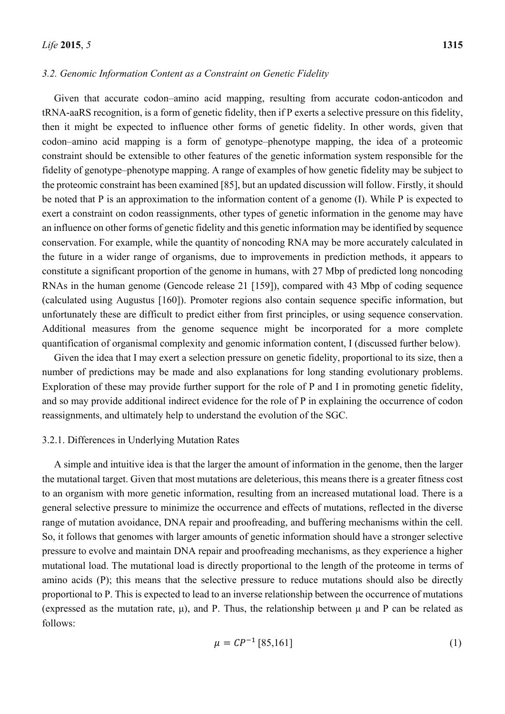#### *3.2. Genomic Information Content as a Constraint on Genetic Fidelity*

Given that accurate codon–amino acid mapping, resulting from accurate codon-anticodon and tRNA-aaRS recognition, is a form of genetic fidelity, then if P exerts a selective pressure on this fidelity, then it might be expected to influence other forms of genetic fidelity. In other words, given that codon–amino acid mapping is a form of genotype–phenotype mapping, the idea of a proteomic constraint should be extensible to other features of the genetic information system responsible for the fidelity of genotype–phenotype mapping. A range of examples of how genetic fidelity may be subject to the proteomic constraint has been examined [85], but an updated discussion will follow. Firstly, it should be noted that P is an approximation to the information content of a genome (I). While P is expected to exert a constraint on codon reassignments, other types of genetic information in the genome may have an influence on other forms of genetic fidelity and this genetic information may be identified by sequence conservation. For example, while the quantity of noncoding RNA may be more accurately calculated in the future in a wider range of organisms, due to improvements in prediction methods, it appears to constitute a significant proportion of the genome in humans, with 27 Mbp of predicted long noncoding RNAs in the human genome (Gencode release 21 [159]), compared with 43 Mbp of coding sequence (calculated using Augustus [160]). Promoter regions also contain sequence specific information, but unfortunately these are difficult to predict either from first principles, or using sequence conservation. Additional measures from the genome sequence might be incorporated for a more complete quantification of organismal complexity and genomic information content, I (discussed further below).

Given the idea that I may exert a selection pressure on genetic fidelity, proportional to its size, then a number of predictions may be made and also explanations for long standing evolutionary problems. Exploration of these may provide further support for the role of P and I in promoting genetic fidelity, and so may provide additional indirect evidence for the role of P in explaining the occurrence of codon reassignments, and ultimately help to understand the evolution of the SGC.

#### 3.2.1. Differences in Underlying Mutation Rates

A simple and intuitive idea is that the larger the amount of information in the genome, then the larger the mutational target. Given that most mutations are deleterious, this means there is a greater fitness cost to an organism with more genetic information, resulting from an increased mutational load. There is a general selective pressure to minimize the occurrence and effects of mutations, reflected in the diverse range of mutation avoidance, DNA repair and proofreading, and buffering mechanisms within the cell. So, it follows that genomes with larger amounts of genetic information should have a stronger selective pressure to evolve and maintain DNA repair and proofreading mechanisms, as they experience a higher mutational load. The mutational load is directly proportional to the length of the proteome in terms of amino acids (P); this means that the selective pressure to reduce mutations should also be directly proportional to P. This is expected to lead to an inverse relationship between the occurrence of mutations (expressed as the mutation rate,  $\mu$ ), and P. Thus, the relationship between  $\mu$  and P can be related as follows:

$$
\mu = CP^{-1} [85, 161] \tag{1}
$$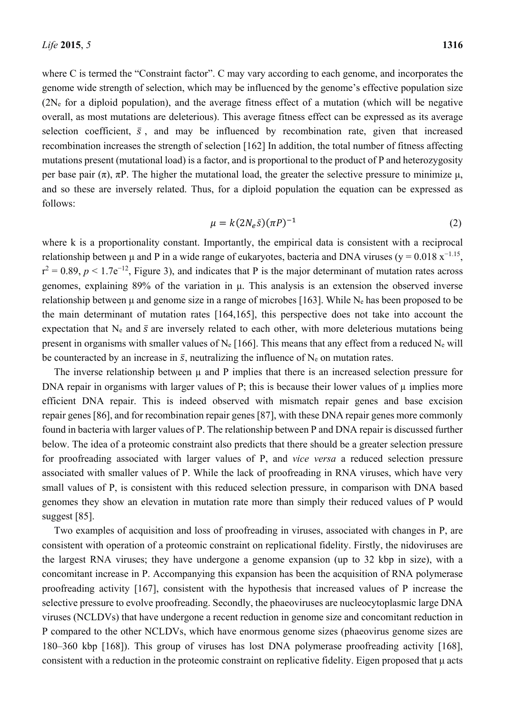where C is termed the "Constraint factor". C may vary according to each genome, and incorporates the genome wide strength of selection, which may be influenced by the genome's effective population size (2Ne for a diploid population), and the average fitness effect of a mutation (which will be negative overall, as most mutations are deleterious). This average fitness effect can be expressed as its average selection coefficient,  $\bar{s}$ , and may be influenced by recombination rate, given that increased recombination increases the strength of selection [162] In addition, the total number of fitness affecting mutations present (mutational load) is a factor, and is proportional to the product of P and heterozygosity per base pair  $(\pi)$ ,  $\pi$ P. The higher the mutational load, the greater the selective pressure to minimize  $\mu$ , and so these are inversely related. Thus, for a diploid population the equation can be expressed as follows:

$$
\mu = k(2N_e \bar{s})(\pi P)^{-1}
$$
 (2)

where k is a proportionality constant. Importantly, the empirical data is consistent with a reciprocal relationship between μ and P in a wide range of eukaryotes, bacteria and DNA viruses ( $y = 0.018 \text{ x}^{-1.15}$ ,  $r^2 = 0.89$ ,  $p < 1.7e^{-12}$ , Figure 3), and indicates that P is the major determinant of mutation rates across genomes, explaining 89% of the variation in μ. This analysis is an extension the observed inverse relationship between  $\mu$  and genome size in a range of microbes [163]. While N<sub>e</sub> has been proposed to be the main determinant of mutation rates [164,165], this perspective does not take into account the expectation that N<sub>e</sub> and  $\bar{s}$  are inversely related to each other, with more deleterious mutations being present in organisms with smaller values of  $N_e$  [166]. This means that any effect from a reduced  $N_e$  will be counteracted by an increase in  $\bar{s}$ , neutralizing the influence of  $N_e$  on mutation rates.

The inverse relationship between  $\mu$  and  $P$  implies that there is an increased selection pressure for DNA repair in organisms with larger values of P; this is because their lower values of  $\mu$  implies more efficient DNA repair. This is indeed observed with mismatch repair genes and base excision repair genes [86], and for recombination repair genes [87], with these DNA repair genes more commonly found in bacteria with larger values of P. The relationship between P and DNA repair is discussed further below. The idea of a proteomic constraint also predicts that there should be a greater selection pressure for proofreading associated with larger values of P, and *vice versa* a reduced selection pressure associated with smaller values of P. While the lack of proofreading in RNA viruses, which have very small values of P, is consistent with this reduced selection pressure, in comparison with DNA based genomes they show an elevation in mutation rate more than simply their reduced values of P would suggest [85].

Two examples of acquisition and loss of proofreading in viruses, associated with changes in P, are consistent with operation of a proteomic constraint on replicational fidelity. Firstly, the nidoviruses are the largest RNA viruses; they have undergone a genome expansion (up to 32 kbp in size), with a concomitant increase in P. Accompanying this expansion has been the acquisition of RNA polymerase proofreading activity [167], consistent with the hypothesis that increased values of P increase the selective pressure to evolve proofreading. Secondly, the phaeoviruses are nucleocytoplasmic large DNA viruses (NCLDVs) that have undergone a recent reduction in genome size and concomitant reduction in P compared to the other NCLDVs, which have enormous genome sizes (phaeovirus genome sizes are 180–360 kbp [168]). This group of viruses has lost DNA polymerase proofreading activity [168], consistent with a reduction in the proteomic constraint on replicative fidelity. Eigen proposed that μ acts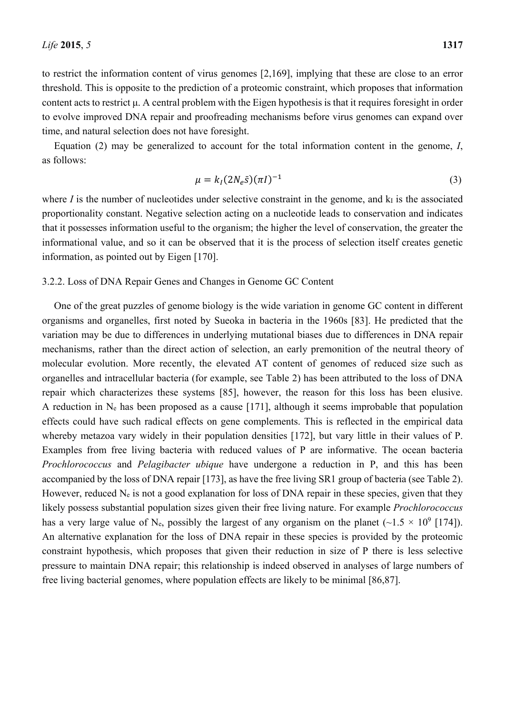to restrict the information content of virus genomes [2,169], implying that these are close to an error threshold. This is opposite to the prediction of a proteomic constraint, which proposes that information content acts to restrict μ. A central problem with the Eigen hypothesis is that it requires foresight in order to evolve improved DNA repair and proofreading mechanisms before virus genomes can expand over time, and natural selection does not have foresight.

Equation (2) may be generalized to account for the total information content in the genome, *I*, as follows:

$$
\mu = k_I (2N_e \bar{s}) (\pi I)^{-1} \tag{3}
$$

where  $I$  is the number of nucleotides under selective constraint in the genome, and  $k_I$  is the associated proportionality constant. Negative selection acting on a nucleotide leads to conservation and indicates that it possesses information useful to the organism; the higher the level of conservation, the greater the informational value, and so it can be observed that it is the process of selection itself creates genetic information, as pointed out by Eigen [170].

#### 3.2.2. Loss of DNA Repair Genes and Changes in Genome GC Content

One of the great puzzles of genome biology is the wide variation in genome GC content in different organisms and organelles, first noted by Sueoka in bacteria in the 1960s [83]. He predicted that the variation may be due to differences in underlying mutational biases due to differences in DNA repair mechanisms, rather than the direct action of selection, an early premonition of the neutral theory of molecular evolution. More recently, the elevated AT content of genomes of reduced size such as organelles and intracellular bacteria (for example, see Table 2) has been attributed to the loss of DNA repair which characterizes these systems [85], however, the reason for this loss has been elusive. A reduction in  $N_e$  has been proposed as a cause [171], although it seems improbable that population effects could have such radical effects on gene complements. This is reflected in the empirical data whereby metazoa vary widely in their population densities [172], but vary little in their values of P. Examples from free living bacteria with reduced values of P are informative. The ocean bacteria *Prochlorococcus* and *Pelagibacter ubique* have undergone a reduction in P, and this has been accompanied by the loss of DNA repair [173], as have the free living SR1 group of bacteria (see Table 2). However, reduced  $N_e$  is not a good explanation for loss of DNA repair in these species, given that they likely possess substantial population sizes given their free living nature. For example *Prochlorococcus* has a very large value of N<sub>e</sub>, possibly the largest of any organism on the planet ( $\sim$ 1.5  $\times$  10<sup>9</sup> [174]). An alternative explanation for the loss of DNA repair in these species is provided by the proteomic constraint hypothesis, which proposes that given their reduction in size of P there is less selective pressure to maintain DNA repair; this relationship is indeed observed in analyses of large numbers of free living bacterial genomes, where population effects are likely to be minimal [86,87].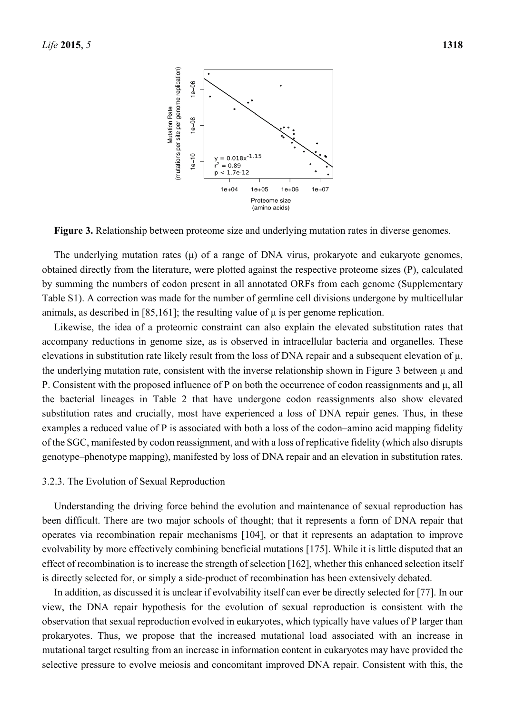

**Figure 3.** Relationship between proteome size and underlying mutation rates in diverse genomes.

The underlying mutation rates  $(\mu)$  of a range of DNA virus, prokaryote and eukaryote genomes, obtained directly from the literature, were plotted against the respective proteome sizes (P), calculated by summing the numbers of codon present in all annotated ORFs from each genome (Supplementary Table S1). A correction was made for the number of germline cell divisions undergone by multicellular animals, as described in [85,161]; the resulting value of  $\mu$  is per genome replication.

Likewise, the idea of a proteomic constraint can also explain the elevated substitution rates that accompany reductions in genome size, as is observed in intracellular bacteria and organelles. These elevations in substitution rate likely result from the loss of DNA repair and a subsequent elevation of μ, the underlying mutation rate, consistent with the inverse relationship shown in Figure 3 between μ and P. Consistent with the proposed influence of P on both the occurrence of codon reassignments and μ, all the bacterial lineages in Table 2 that have undergone codon reassignments also show elevated substitution rates and crucially, most have experienced a loss of DNA repair genes. Thus, in these examples a reduced value of P is associated with both a loss of the codon–amino acid mapping fidelity of the SGC, manifested by codon reassignment, and with a loss of replicative fidelity (which also disrupts genotype–phenotype mapping), manifested by loss of DNA repair and an elevation in substitution rates.

#### 3.2.3. The Evolution of Sexual Reproduction

Understanding the driving force behind the evolution and maintenance of sexual reproduction has been difficult. There are two major schools of thought; that it represents a form of DNA repair that operates via recombination repair mechanisms [104], or that it represents an adaptation to improve evolvability by more effectively combining beneficial mutations [175]. While it is little disputed that an effect of recombination is to increase the strength of selection [162], whether this enhanced selection itself is directly selected for, or simply a side-product of recombination has been extensively debated.

In addition, as discussed it is unclear if evolvability itself can ever be directly selected for [77]. In our view, the DNA repair hypothesis for the evolution of sexual reproduction is consistent with the observation that sexual reproduction evolved in eukaryotes, which typically have values of P larger than prokaryotes. Thus, we propose that the increased mutational load associated with an increase in mutational target resulting from an increase in information content in eukaryotes may have provided the selective pressure to evolve meiosis and concomitant improved DNA repair. Consistent with this, the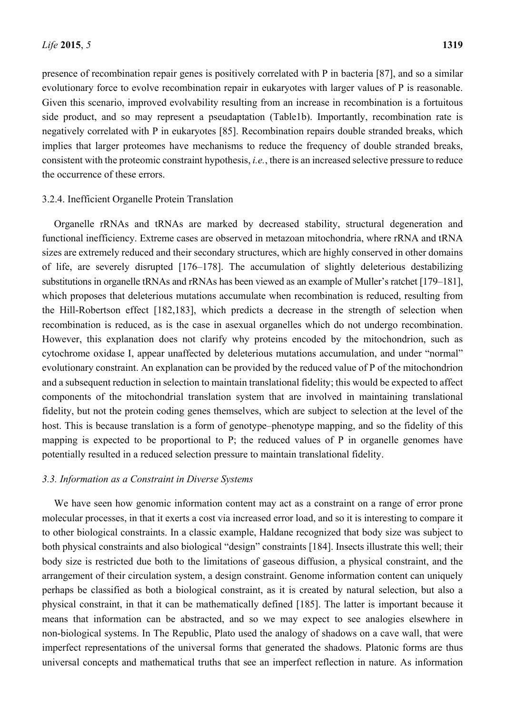presence of recombination repair genes is positively correlated with P in bacteria [87], and so a similar evolutionary force to evolve recombination repair in eukaryotes with larger values of P is reasonable. Given this scenario, improved evolvability resulting from an increase in recombination is a fortuitous side product, and so may represent a pseudaptation (Table1b). Importantly, recombination rate is negatively correlated with P in eukaryotes [85]. Recombination repairs double stranded breaks, which implies that larger proteomes have mechanisms to reduce the frequency of double stranded breaks, consistent with the proteomic constraint hypothesis, *i.e.*, there is an increased selective pressure to reduce the occurrence of these errors.

#### 3.2.4. Inefficient Organelle Protein Translation

Organelle rRNAs and tRNAs are marked by decreased stability, structural degeneration and functional inefficiency. Extreme cases are observed in metazoan mitochondria, where rRNA and tRNA sizes are extremely reduced and their secondary structures, which are highly conserved in other domains of life, are severely disrupted [176–178]. The accumulation of slightly deleterious destabilizing substitutions in organelle tRNAs and rRNAs has been viewed as an example of Muller's ratchet [179–181], which proposes that deleterious mutations accumulate when recombination is reduced, resulting from the Hill-Robertson effect [182,183], which predicts a decrease in the strength of selection when recombination is reduced, as is the case in asexual organelles which do not undergo recombination. However, this explanation does not clarify why proteins encoded by the mitochondrion, such as cytochrome oxidase I, appear unaffected by deleterious mutations accumulation, and under "normal" evolutionary constraint. An explanation can be provided by the reduced value of P of the mitochondrion and a subsequent reduction in selection to maintain translational fidelity; this would be expected to affect components of the mitochondrial translation system that are involved in maintaining translational fidelity, but not the protein coding genes themselves, which are subject to selection at the level of the host. This is because translation is a form of genotype–phenotype mapping, and so the fidelity of this mapping is expected to be proportional to P; the reduced values of P in organelle genomes have potentially resulted in a reduced selection pressure to maintain translational fidelity.

#### *3.3. Information as a Constraint in Diverse Systems*

We have seen how genomic information content may act as a constraint on a range of error prone molecular processes, in that it exerts a cost via increased error load, and so it is interesting to compare it to other biological constraints. In a classic example, Haldane recognized that body size was subject to both physical constraints and also biological "design" constraints [184]. Insects illustrate this well; their body size is restricted due both to the limitations of gaseous diffusion, a physical constraint, and the arrangement of their circulation system, a design constraint. Genome information content can uniquely perhaps be classified as both a biological constraint, as it is created by natural selection, but also a physical constraint, in that it can be mathematically defined [185]. The latter is important because it means that information can be abstracted, and so we may expect to see analogies elsewhere in non-biological systems. In The Republic, Plato used the analogy of shadows on a cave wall, that were imperfect representations of the universal forms that generated the shadows. Platonic forms are thus universal concepts and mathematical truths that see an imperfect reflection in nature. As information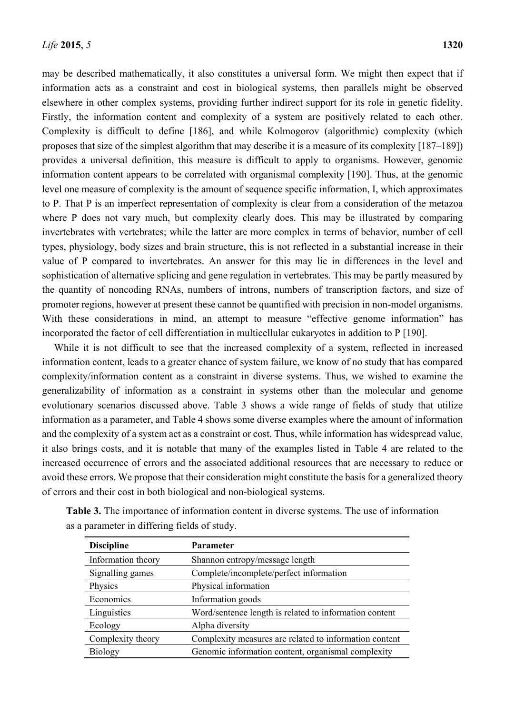may be described mathematically, it also constitutes a universal form. We might then expect that if information acts as a constraint and cost in biological systems, then parallels might be observed elsewhere in other complex systems, providing further indirect support for its role in genetic fidelity. Firstly, the information content and complexity of a system are positively related to each other. Complexity is difficult to define [186], and while Kolmogorov (algorithmic) complexity (which proposes that size of the simplest algorithm that may describe it is a measure of its complexity [187–189]) provides a universal definition, this measure is difficult to apply to organisms. However, genomic information content appears to be correlated with organismal complexity [190]. Thus, at the genomic level one measure of complexity is the amount of sequence specific information, I, which approximates to P. That P is an imperfect representation of complexity is clear from a consideration of the metazoa where P does not vary much, but complexity clearly does. This may be illustrated by comparing invertebrates with vertebrates; while the latter are more complex in terms of behavior, number of cell types, physiology, body sizes and brain structure, this is not reflected in a substantial increase in their value of P compared to invertebrates. An answer for this may lie in differences in the level and sophistication of alternative splicing and gene regulation in vertebrates. This may be partly measured by the quantity of noncoding RNAs, numbers of introns, numbers of transcription factors, and size of promoter regions, however at present these cannot be quantified with precision in non-model organisms. With these considerations in mind, an attempt to measure "effective genome information" has incorporated the factor of cell differentiation in multicellular eukaryotes in addition to P [190].

While it is not difficult to see that the increased complexity of a system, reflected in increased information content, leads to a greater chance of system failure, we know of no study that has compared complexity/information content as a constraint in diverse systems. Thus, we wished to examine the generalizability of information as a constraint in systems other than the molecular and genome evolutionary scenarios discussed above. Table 3 shows a wide range of fields of study that utilize information as a parameter, and Table 4 shows some diverse examples where the amount of information and the complexity of a system act as a constraint or cost. Thus, while information has widespread value, it also brings costs, and it is notable that many of the examples listed in Table 4 are related to the increased occurrence of errors and the associated additional resources that are necessary to reduce or avoid these errors. We propose that their consideration might constitute the basis for a generalized theory of errors and their cost in both biological and non-biological systems.

| <b>Discipline</b>  | <b>Parameter</b>                                       |
|--------------------|--------------------------------------------------------|
| Information theory | Shannon entropy/message length                         |
| Signalling games   | Complete/incomplete/perfect information                |
| Physics            | Physical information                                   |
| Economics          | Information goods                                      |
| Linguistics        | Word/sentence length is related to information content |
| Ecology            | Alpha diversity                                        |
| Complexity theory  | Complexity measures are related to information content |
| <b>Biology</b>     | Genomic information content, organismal complexity     |
|                    |                                                        |

**Table 3.** The importance of information content in diverse systems. The use of information as a parameter in differing fields of study.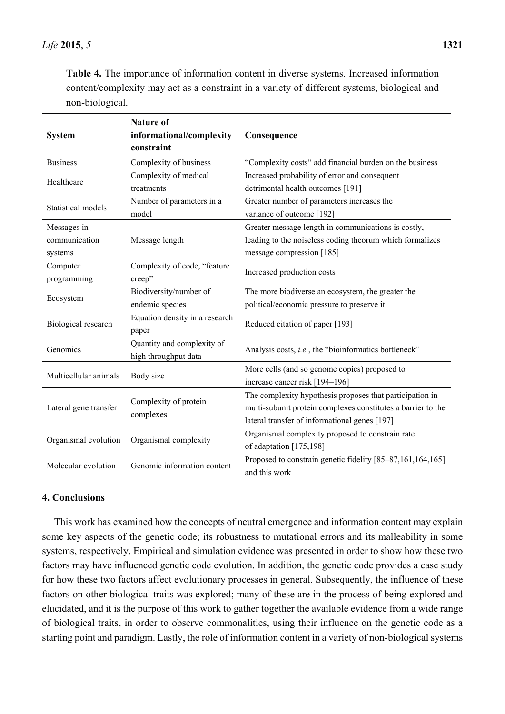**Table 4.** The importance of information content in diverse systems. Increased information content/complexity may act as a constraint in a variety of different systems, biological and non-biological.

| <b>System</b>                           | <b>Nature of</b><br>informational/complexity<br>constraint | Consequence                                                                                                                                                               |
|-----------------------------------------|------------------------------------------------------------|---------------------------------------------------------------------------------------------------------------------------------------------------------------------------|
| <b>Business</b>                         | Complexity of business                                     | "Complexity costs" add financial burden on the business                                                                                                                   |
| Healthcare                              | Complexity of medical<br>treatments                        | Increased probability of error and consequent<br>detrimental health outcomes [191]                                                                                        |
| Statistical models                      | Number of parameters in a<br>model                         | Greater number of parameters increases the<br>variance of outcome [192]                                                                                                   |
| Messages in<br>communication<br>systems | Message length                                             | Greater message length in communications is costly,<br>leading to the noiseless coding theorum which formalizes<br>message compression [185]                              |
| Computer<br>programming                 | Complexity of code, "feature<br>creep"                     | Increased production costs                                                                                                                                                |
| Ecosystem                               | Biodiversity/number of<br>endemic species                  | The more biodiverse an ecosystem, the greater the<br>political/economic pressure to preserve it                                                                           |
| Biological research                     | Equation density in a research<br>paper                    | Reduced citation of paper [193]                                                                                                                                           |
| Genomics                                | Quantity and complexity of<br>high throughput data         | Analysis costs, i.e., the "bioinformatics bottleneck"                                                                                                                     |
| Multicellular animals                   | Body size                                                  | More cells (and so genome copies) proposed to<br>increase cancer risk [194-196]                                                                                           |
| Lateral gene transfer                   | Complexity of protein<br>complexes                         | The complexity hypothesis proposes that participation in<br>multi-subunit protein complexes constitutes a barrier to the<br>lateral transfer of informational genes [197] |
| Organismal evolution                    | Organismal complexity                                      | Organismal complexity proposed to constrain rate<br>of adaptation [175,198]                                                                                               |
| Molecular evolution                     | Genomic information content                                | Proposed to constrain genetic fidelity [85–87,161,164,165]<br>and this work                                                                                               |

## **4. Conclusions**

This work has examined how the concepts of neutral emergence and information content may explain some key aspects of the genetic code; its robustness to mutational errors and its malleability in some systems, respectively. Empirical and simulation evidence was presented in order to show how these two factors may have influenced genetic code evolution. In addition, the genetic code provides a case study for how these two factors affect evolutionary processes in general. Subsequently, the influence of these factors on other biological traits was explored; many of these are in the process of being explored and elucidated, and it is the purpose of this work to gather together the available evidence from a wide range of biological traits, in order to observe commonalities, using their influence on the genetic code as a starting point and paradigm. Lastly, the role of information content in a variety of non-biological systems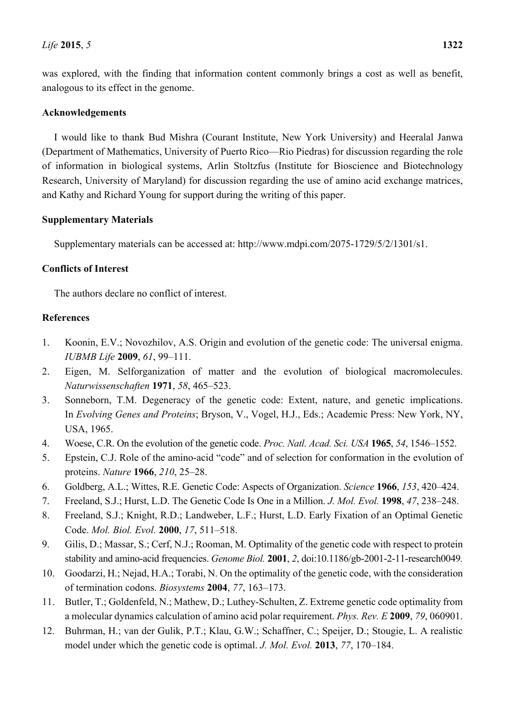was explored, with the finding that information content commonly brings a cost as well as benefit, analogous to its effect in the genome.

## **Acknowledgements**

I would like to thank Bud Mishra (Courant Institute, New York University) and Heeralal Janwa (Department of Mathematics, University of Puerto Rico—Rio Piedras) for discussion regarding the role of information in biological systems, Arlin Stoltzfus (Institute for Bioscience and Biotechnology Research, University of Maryland) for discussion regarding the use of amino acid exchange matrices, and Kathy and Richard Young for support during the writing of this paper.

## **Supplementary Materials**

Supplementary materials can be accessed at: http://www.mdpi.com/2075-1729/5/2/1301/s1.

## **Conflicts of Interest**

The authors declare no conflict of interest.

## **References**

- 1. Koonin, E.V.; Novozhilov, A.S. Origin and evolution of the genetic code: The universal enigma. *IUBMB Life* **2009**, *61*, 99–111.
- 2. Eigen, M. Selforganization of matter and the evolution of biological macromolecules. *Naturwissenschaften* **1971**, *58*, 465–523.
- 3. Sonneborn, T.M. Degeneracy of the genetic code: Extent, nature, and genetic implications. In *Evolving Genes and Proteins*; Bryson, V., Vogel, H.J., Eds.; Academic Press: New York, NY, USA, 1965.
- 4. Woese, C.R. On the evolution of the genetic code. *Proc. Natl. Acad. Sci. USA* **1965**, *54*, 1546–1552.
- 5. Epstein, C.J. Role of the amino-acid "code" and of selection for conformation in the evolution of proteins. *Nature* **1966**, *210*, 25–28.
- 6. Goldberg, A.L.; Wittes, R.E. Genetic Code: Aspects of Organization. *Science* **1966**, *153*, 420–424.
- 7. Freeland, S.J.; Hurst, L.D. The Genetic Code Is One in a Million. *J. Mol. Evol.* **1998**, *47*, 238–248.
- 8. Freeland, S.J.; Knight, R.D.; Landweber, L.F.; Hurst, L.D. Early Fixation of an Optimal Genetic Code. *Mol. Biol. Evol.* **2000**, *17*, 511–518.
- 9. Gilis, D.; Massar, S.; Cerf, N.J.; Rooman, M. Optimality of the genetic code with respect to protein stability and amino-acid frequencies. *Genome Biol.* **2001**, *2*, doi:10.1186/gb-2001-2-11-research0049*.*
- 10. Goodarzi, H.; Nejad, H.A.; Torabi, N. On the optimality of the genetic code, with the consideration of termination codons. *Biosystems* **2004**, *77*, 163–173.
- 11. Butler, T.; Goldenfeld, N.; Mathew, D.; Luthey-Schulten, Z. Extreme genetic code optimality from a molecular dynamics calculation of amino acid polar requirement. *Phys. Rev. E* **2009**, *79*, 060901.
- 12. Buhrman, H.; van der Gulik, P.T.; Klau, G.W.; Schaffner, C.; Speijer, D.; Stougie, L. A realistic model under which the genetic code is optimal. *J. Mol. Evol.* **2013**, *77*, 170–184.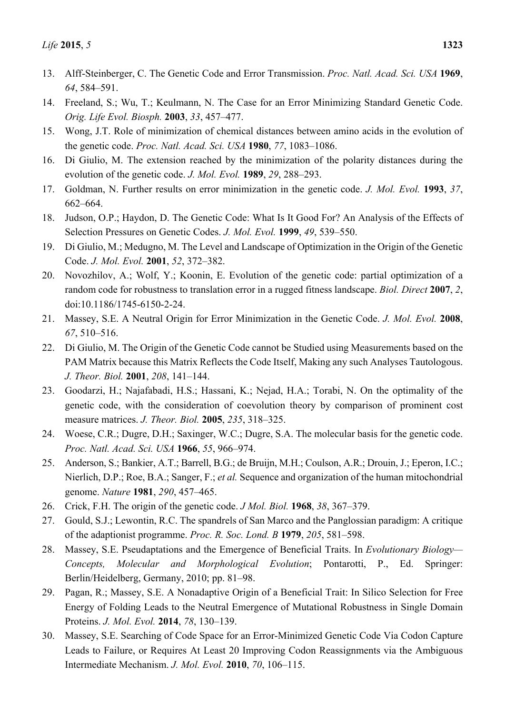- 13. Alff-Steinberger, C. The Genetic Code and Error Transmission. *Proc. Natl. Acad. Sci. USA* **1969**, *64*, 584–591.
- 14. Freeland, S.; Wu, T.; Keulmann, N. The Case for an Error Minimizing Standard Genetic Code. *Orig. Life Evol. Biosph.* **2003**, *33*, 457–477.
- 15. Wong, J.T. Role of minimization of chemical distances between amino acids in the evolution of the genetic code. *Proc. Natl. Acad. Sci. USA* **1980**, *77*, 1083–1086.
- 16. Di Giulio, M. The extension reached by the minimization of the polarity distances during the evolution of the genetic code. *J. Mol. Evol.* **1989**, *29*, 288–293.
- 17. Goldman, N. Further results on error minimization in the genetic code. *J. Mol. Evol.* **1993**, *37*, 662–664.
- 18. Judson, O.P.; Haydon, D. The Genetic Code: What Is It Good For? An Analysis of the Effects of Selection Pressures on Genetic Codes. *J. Mol. Evol.* **1999**, *49*, 539–550.
- 19. Di Giulio, M.; Medugno, M. The Level and Landscape of Optimization in the Origin of the Genetic Code. *J. Mol. Evol.* **2001**, *52*, 372–382.
- 20. Novozhilov, A.; Wolf, Y.; Koonin, E. Evolution of the genetic code: partial optimization of a random code for robustness to translation error in a rugged fitness landscape. *Biol. Direct* **2007**, *2*, doi:10.1186/1745-6150-2-24.
- 21. Massey, S.E. A Neutral Origin for Error Minimization in the Genetic Code. *J. Mol. Evol.* **2008**, *67*, 510–516.
- 22. Di Giulio, M. The Origin of the Genetic Code cannot be Studied using Measurements based on the PAM Matrix because this Matrix Reflects the Code Itself, Making any such Analyses Tautologous. *J. Theor. Biol.* **2001**, *208*, 141–144.
- 23. Goodarzi, H.; Najafabadi, H.S.; Hassani, K.; Nejad, H.A.; Torabi, N. On the optimality of the genetic code, with the consideration of coevolution theory by comparison of prominent cost measure matrices. *J. Theor. Biol.* **2005**, *235*, 318–325.
- 24. Woese, C.R.; Dugre, D.H.; Saxinger, W.C.; Dugre, S.A. The molecular basis for the genetic code. *Proc. Natl. Acad. Sci. USA* **1966**, *55*, 966–974.
- 25. Anderson, S.; Bankier, A.T.; Barrell, B.G.; de Bruijn, M.H.; Coulson, A.R.; Drouin, J.; Eperon, I.C.; Nierlich, D.P.; Roe, B.A.; Sanger, F.; *et al.* Sequence and organization of the human mitochondrial genome. *Nature* **1981**, *290*, 457–465.
- 26. Crick, F.H. The origin of the genetic code. *J Mol. Biol.* **1968**, *38*, 367–379.
- 27. Gould, S.J.; Lewontin, R.C. The spandrels of San Marco and the Panglossian paradigm: A critique of the adaptionist programme. *Proc. R. Soc. Lond. B* **1979**, *205*, 581–598.
- 28. Massey, S.E. Pseudaptations and the Emergence of Beneficial Traits. In *Evolutionary Biology— Concepts, Molecular and Morphological Evolution*; Pontarotti, P., Ed. Springer: Berlin/Heidelberg, Germany, 2010; pp. 81–98.
- 29. Pagan, R.; Massey, S.E. A Nonadaptive Origin of a Beneficial Trait: In Silico Selection for Free Energy of Folding Leads to the Neutral Emergence of Mutational Robustness in Single Domain Proteins. *J. Mol. Evol.* **2014**, *78*, 130–139.
- 30. Massey, S.E. Searching of Code Space for an Error-Minimized Genetic Code Via Codon Capture Leads to Failure, or Requires At Least 20 Improving Codon Reassignments via the Ambiguous Intermediate Mechanism. *J. Mol. Evol.* **2010**, *70*, 106–115.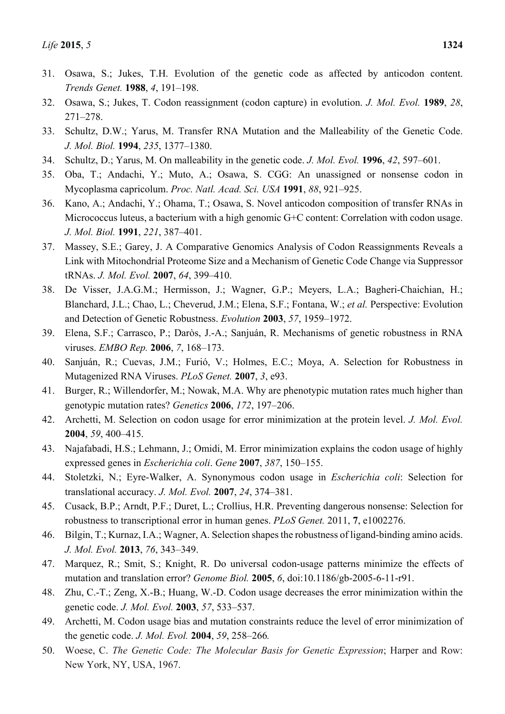- 31. Osawa, S.; Jukes, T.H. Evolution of the genetic code as affected by anticodon content. *Trends Genet.* **1988**, *4*, 191–198.
- 32. Osawa, S.; Jukes, T. Codon reassignment (codon capture) in evolution. *J. Mol. Evol.* **1989**, *28*, 271–278.
- 33. Schultz, D.W.; Yarus, M. Transfer RNA Mutation and the Malleability of the Genetic Code. *J. Mol. Biol.* **1994**, *235*, 1377–1380.
- 34. Schultz, D.; Yarus, M. On malleability in the genetic code. *J. Mol. Evol.* **1996**, *42*, 597–601.
- 35. Oba, T.; Andachi, Y.; Muto, A.; Osawa, S. CGG: An unassigned or nonsense codon in Mycoplasma capricolum. *Proc. Natl. Acad. Sci. USA* **1991**, *88*, 921–925.
- 36. Kano, A.; Andachi, Y.; Ohama, T.; Osawa, S. Novel anticodon composition of transfer RNAs in Micrococcus luteus, a bacterium with a high genomic G+C content: Correlation with codon usage. *J. Mol. Biol.* **1991**, *221*, 387–401.
- 37. Massey, S.E.; Garey, J. A Comparative Genomics Analysis of Codon Reassignments Reveals a Link with Mitochondrial Proteome Size and a Mechanism of Genetic Code Change via Suppressor tRNAs. *J. Mol. Evol.* **2007**, *64*, 399–410.
- 38. De Visser, J.A.G.M.; Hermisson, J.; Wagner, G.P.; Meyers, L.A.; Bagheri-Chaichian, H.; Blanchard, J.L.; Chao, L.; Cheverud, J.M.; Elena, S.F.; Fontana, W.; *et al.* Perspective: Evolution and Detection of Genetic Robustness. *Evolution* **2003**, *57*, 1959–1972.
- 39. Elena, S.F.; Carrasco, P.; Daròs, J.-A.; Sanjuán, R. Mechanisms of genetic robustness in RNA viruses. *EMBO Rep.* **2006**, *7*, 168–173.
- 40. Sanjuán, R.; Cuevas, J.M.; Furió, V.; Holmes, E.C.; Moya, A. Selection for Robustness in Mutagenized RNA Viruses. *PLoS Genet.* **2007**, *3*, e93.
- 41. Burger, R.; Willendorfer, M.; Nowak, M.A. Why are phenotypic mutation rates much higher than genotypic mutation rates? *Genetics* **2006**, *172*, 197–206.
- 42. Archetti, M. Selection on codon usage for error minimization at the protein level. *J. Mol. Evol.* **2004**, *59*, 400–415.
- 43. Najafabadi, H.S.; Lehmann, J.; Omidi, M. Error minimization explains the codon usage of highly expressed genes in *Escherichia coli*. *Gene* **2007**, *387*, 150–155.
- 44. Stoletzki, N.; Eyre-Walker, A. Synonymous codon usage in *Escherichia coli*: Selection for translational accuracy. *J. Mol. Evol.* **2007**, *24*, 374–381.
- 45. Cusack, B.P.; Arndt, P.F.; Duret, L.; Crollius, H.R. Preventing dangerous nonsense: Selection for robustness to transcriptional error in human genes. *PLoS Genet.* 2011, **7**, e1002276.
- 46. Bilgin, T.; Kurnaz, I.A.; Wagner, A. Selection shapes the robustness of ligand-binding amino acids. *J. Mol. Evol.* **2013**, *76*, 343–349.
- 47. Marquez, R.; Smit, S.; Knight, R. Do universal codon-usage patterns minimize the effects of mutation and translation error? *Genome Biol.* **2005**, *6*, doi:10.1186/gb-2005-6-11-r91.
- 48. Zhu, C.-T.; Zeng, X.-B.; Huang, W.-D. Codon usage decreases the error minimization within the genetic code. *J. Mol. Evol.* **2003**, *57*, 533–537.
- 49. Archetti, M. Codon usage bias and mutation constraints reduce the level of error minimization of the genetic code. *J. Mol. Evol.* **2004**, *59*, 258–266*.*
- 50. Woese, C. *The Genetic Code: The Molecular Basis for Genetic Expression*; Harper and Row: New York, NY, USA, 1967.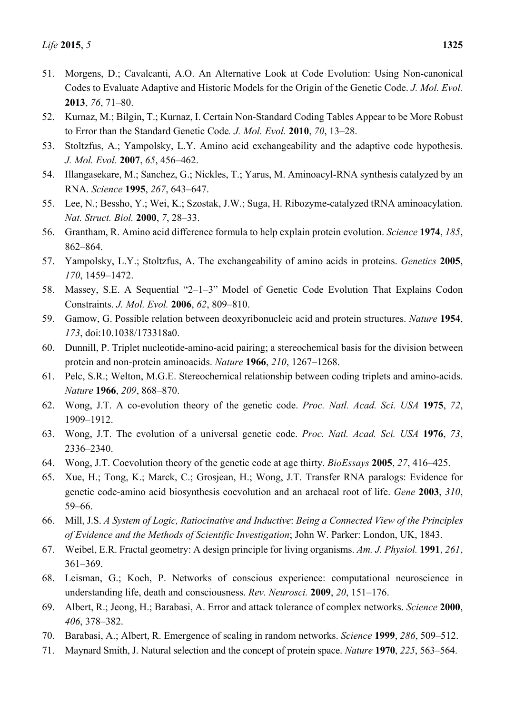- 51. Morgens, D.; Cavalcanti, A.O. An Alternative Look at Code Evolution: Using Non-canonical Codes to Evaluate Adaptive and Historic Models for the Origin of the Genetic Code. *J. Mol. Evol.*  **2013**, *76*, 71–80.
- 52. Kurnaz, M.; Bilgin, T.; Kurnaz, I. Certain Non-Standard Coding Tables Appear to be More Robust to Error than the Standard Genetic Code*. J. Mol. Evol.* **2010**, *70*, 13–28.
- 53. Stoltzfus, A.; Yampolsky, L.Y. Amino acid exchangeability and the adaptive code hypothesis. *J. Mol. Evol.* **2007**, *65*, 456–462.
- 54. Illangasekare, M.; Sanchez, G.; Nickles, T.; Yarus, M. Aminoacyl-RNA synthesis catalyzed by an RNA. *Science* **1995**, *267*, 643–647.
- 55. Lee, N.; Bessho, Y.; Wei, K.; Szostak, J.W.; Suga, H. Ribozyme-catalyzed tRNA aminoacylation. *Nat. Struct. Biol.* **2000**, *7*, 28–33.
- 56. Grantham, R. Amino acid difference formula to help explain protein evolution. *Science* **1974**, *185*, 862–864.
- 57. Yampolsky, L.Y.; Stoltzfus, A. The exchangeability of amino acids in proteins. *Genetics* **2005**, *170*, 1459–1472.
- 58. Massey, S.E. A Sequential "2–1–3" Model of Genetic Code Evolution That Explains Codon Constraints. *J. Mol. Evol.* **2006**, *62*, 809–810.
- 59. Gamow, G. Possible relation between deoxyribonucleic acid and protein structures. *Nature* **1954**, *173*, doi:10.1038/173318a0.
- 60. Dunnill, P. Triplet nucleotide-amino-acid pairing; a stereochemical basis for the division between protein and non-protein aminoacids. *Nature* **1966**, *210*, 1267–1268.
- 61. Pelc, S.R.; Welton, M.G.E. Stereochemical relationship between coding triplets and amino-acids. *Nature* **1966**, *209*, 868–870.
- 62. Wong, J.T. A co-evolution theory of the genetic code. *Proc. Natl. Acad. Sci. USA* **1975**, *72*, 1909–1912.
- 63. Wong, J.T. The evolution of a universal genetic code. *Proc. Natl. Acad. Sci. USA* **1976**, *73*, 2336–2340.
- 64. Wong, J.T. Coevolution theory of the genetic code at age thirty. *BioEssays* **2005**, *27*, 416–425.
- 65. Xue, H.; Tong, K.; Marck, C.; Grosjean, H.; Wong, J.T. Transfer RNA paralogs: Evidence for genetic code-amino acid biosynthesis coevolution and an archaeal root of life. *Gene* **2003**, *310*, 59–66.
- 66. Mill, J.S. *A System of Logic, Ratiocinative and Inductive*: *Being a Connected View of the Principles of Evidence and the Methods of Scientific Investigation*; John W. Parker: London, UK, 1843.
- 67. Weibel, E.R. Fractal geometry: A design principle for living organisms. *Am. J. Physiol.* **1991**, *261*, 361–369.
- 68. Leisman, G.; Koch, P. Networks of conscious experience: computational neuroscience in understanding life, death and consciousness. *Rev. Neurosci.* **2009**, *20*, 151–176.
- 69. Albert, R.; Jeong, H.; Barabasi, A. Error and attack tolerance of complex networks. *Science* **2000**, *406*, 378–382.
- 70. Barabasi, A.; Albert, R. Emergence of scaling in random networks. *Science* **1999**, *286*, 509–512.
- 71. Maynard Smith, J. Natural selection and the concept of protein space. *Nature* **1970**, *225*, 563–564.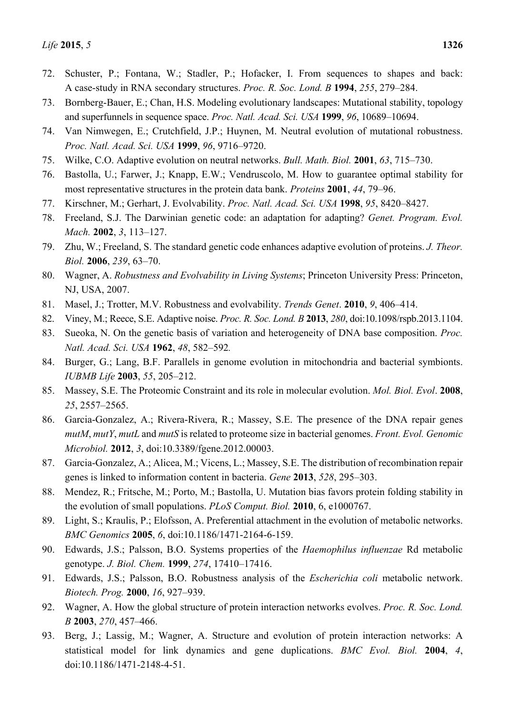- 72. Schuster, P.; Fontana, W.; Stadler, P.; Hofacker, I. From sequences to shapes and back: A case-study in RNA secondary structures. *Proc. R. Soc. Lond. B* **1994**, *255*, 279–284.
- 73. Bornberg-Bauer, E.; Chan, H.S. Modeling evolutionary landscapes: Mutational stability, topology and superfunnels in sequence space. *Proc. Natl. Acad. Sci. USA* **1999**, *96*, 10689–10694.
- 74. Van Nimwegen, E.; Crutchfield, J.P.; Huynen, M. Neutral evolution of mutational robustness. *Proc. Natl. Acad. Sci. USA* **1999**, *96*, 9716–9720.
- 75. Wilke, C.O. Adaptive evolution on neutral networks. *Bull. Math. Biol.* **2001**, *63*, 715–730.
- 76. Bastolla, U.; Farwer, J.; Knapp, E.W.; Vendruscolo, M. How to guarantee optimal stability for most representative structures in the protein data bank. *Proteins* **2001**, *44*, 79–96.
- 77. Kirschner, M.; Gerhart, J. Evolvability. *Proc. Natl. Acad. Sci. USA* **1998**, *95*, 8420–8427.
- 78. Freeland, S.J. The Darwinian genetic code: an adaptation for adapting? *Genet. Program. Evol. Mach.* **2002**, *3*, 113–127.
- 79. Zhu, W.; Freeland, S. The standard genetic code enhances adaptive evolution of proteins. *J. Theor. Biol.* **2006**, *239*, 63–70.
- 80. Wagner, A. *Robustness and Evolvability in Living Systems*; Princeton University Press: Princeton, NJ, USA, 2007.
- 81. Masel, J.; Trotter, M.V. Robustness and evolvability. *Trends Genet*. **2010**, *9*, 406–414.
- 82. Viney, M.; Reece, S.E. Adaptive noise. *Proc. R. Soc. Lond. B* **2013**, *280*, doi:10.1098/rspb.2013.1104.
- 83. Sueoka, N. On the genetic basis of variation and heterogeneity of DNA base composition. *Proc. Natl. Acad. Sci. USA* **1962**, *48*, 582*–*592*.*
- 84. Burger, G.; Lang, B.F. Parallels in genome evolution in mitochondria and bacterial symbionts. *IUBMB Life* **2003**, *55*, 205–212.
- 85. Massey, S.E. The Proteomic Constraint and its role in molecular evolution. *Mol. Biol. Evol*. **2008**, *25*, 2557–2565.
- 86. Garcia-Gonzalez, A.; Rivera-Rivera, R.; Massey, S.E. The presence of the DNA repair genes *mutM*, *mutY*, *mutL* and *mutS* is related to proteome size in bacterial genomes. *Front. Evol. Genomic Microbiol.* **2012**, *3*, doi:10.3389/fgene.2012.00003.
- 87. Garcia-Gonzalez, A.; Alicea, M.; Vicens, L.; Massey, S.E. The distribution of recombination repair genes is linked to information content in bacteria. *Gene* **2013**, *528*, 295–303.
- 88. Mendez, R.; Fritsche, M.; Porto, M.; Bastolla, U. Mutation bias favors protein folding stability in the evolution of small populations. *PLoS Comput. Biol.* **2010**, 6, e1000767.
- 89. Light, S.; Kraulis, P.; Elofsson, A. Preferential attachment in the evolution of metabolic networks. *BMC Genomics* **2005**, *6*, doi:10.1186/1471-2164-6-159.
- 90. Edwards, J.S.; Palsson, B.O. Systems properties of the *Haemophilus influenzae* Rd metabolic genotype. *J. Biol. Chem.* **1999**, *274*, 17410–17416.
- 91. Edwards, J.S.; Palsson, B.O. Robustness analysis of the *Escherichia coli* metabolic network. *Biotech. Prog.* **2000**, *16*, 927–939.
- 92. Wagner, A. How the global structure of protein interaction networks evolves. *Proc. R. Soc. Lond. B* **2003**, *270*, 457–466.
- 93. Berg, J.; Lassig, M.; Wagner, A. Structure and evolution of protein interaction networks: A statistical model for link dynamics and gene duplications. *BMC Evol. Biol.* **2004**, *4*, doi:10.1186/1471-2148-4-51.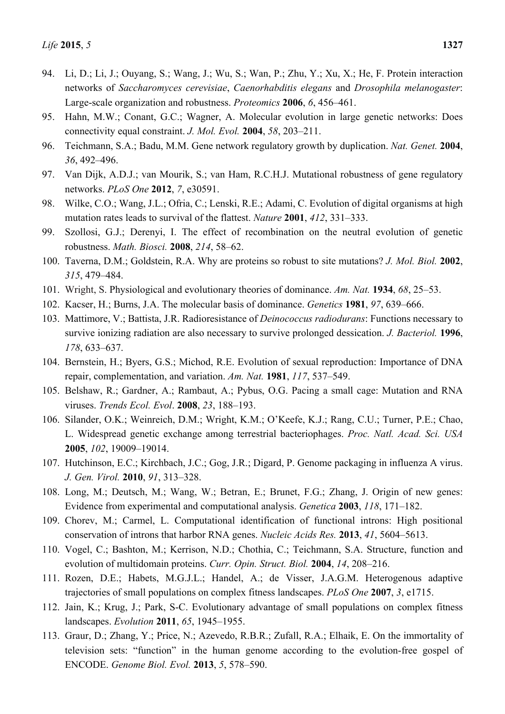- 94. Li, D.; Li, J.; Ouyang, S.; Wang, J.; Wu, S.; Wan, P.; Zhu, Y.; Xu, X.; He, F. Protein interaction networks of *Saccharomyces cerevisiae*, *Caenorhabditis elegans* and *Drosophila melanogaster*: Large-scale organization and robustness. *Proteomics* **2006**, *6*, 456–461.
- 95. Hahn, M.W.; Conant, G.C.; Wagner, A. Molecular evolution in large genetic networks: Does connectivity equal constraint. *J. Mol. Evol.* **2004**, *58*, 203–211.
- 96. Teichmann, S.A.; Badu, M.M. Gene network regulatory growth by duplication. *Nat. Genet.* **2004**, *36*, 492–496.
- 97. Van Dijk, A.D.J.; van Mourik, S.; van Ham, R.C.H.J. Mutational robustness of gene regulatory networks. *PLoS One* **2012**, *7*, e30591.
- 98. Wilke, C.O.; Wang, J.L.; Ofria, C.; Lenski, R.E.; Adami, C. Evolution of digital organisms at high mutation rates leads to survival of the flattest. *Nature* **2001**, *412*, 331–333.
- 99. Szollosi, G.J.; Derenyi, I. The effect of recombination on the neutral evolution of genetic robustness. *Math. Biosci.* **2008**, *214*, 58–62.
- 100. Taverna, D.M.; Goldstein, R.A. Why are proteins so robust to site mutations? *J. Mol. Biol.* **2002**, *315*, 479–484.
- 101. Wright, S. Physiological and evolutionary theories of dominance. *Am. Nat.* **1934**, *68*, 25–53.
- 102. Kacser, H.; Burns, J.A. The molecular basis of dominance. *Genetics* **1981**, *97*, 639–666.
- 103. Mattimore, V.; Battista, J.R. Radioresistance of *Deinococcus radiodurans*: Functions necessary to survive ionizing radiation are also necessary to survive prolonged dessication. *J. Bacteriol.* **1996**, *178*, 633–637.
- 104. Bernstein, H.; Byers, G.S.; Michod, R.E. Evolution of sexual reproduction: Importance of DNA repair, complementation, and variation. *Am. Nat.* **1981**, *117*, 537–549.
- 105. Belshaw, R.; Gardner, A.; Rambaut, A.; Pybus, O.G. Pacing a small cage: Mutation and RNA viruses. *Trends Ecol. Evol*. **2008**, *23*, 188–193.
- 106. Silander, O.K.; Weinreich, D.M.; Wright, K.M.; O'Keefe, K.J.; Rang, C.U.; Turner, P.E.; Chao, L. Widespread genetic exchange among terrestrial bacteriophages. *Proc. Natl. Acad. Sci. USA* **2005**, *102*, 19009–19014.
- 107. Hutchinson, E.C.; Kirchbach, J.C.; Gog, J.R.; Digard, P. Genome packaging in influenza A virus. *J. Gen. Virol.* **2010**, *91*, 313–328.
- 108. Long, M.; Deutsch, M.; Wang, W.; Betran, E.; Brunet, F.G.; Zhang, J. Origin of new genes: Evidence from experimental and computational analysis. *Genetica* **2003**, *118*, 171–182.
- 109. Chorev, M.; Carmel, L. Computational identification of functional introns: High positional conservation of introns that harbor RNA genes. *Nucleic Acids Res.* **2013**, *41*, 5604–5613.
- 110. Vogel, C.; Bashton, M.; Kerrison, N.D.; Chothia, C.; Teichmann, S.A. Structure, function and evolution of multidomain proteins. *Curr. Opin. Struct. Biol.* **2004**, *14*, 208–216.
- 111. Rozen, D.E.; Habets, M.G.J.L.; Handel, A.; de Visser, J.A.G.M. Heterogenous adaptive trajectories of small populations on complex fitness landscapes. *PLoS One* **2007**, *3*, e1715.
- 112. Jain, K.; Krug, J.; Park, S-C. Evolutionary advantage of small populations on complex fitness landscapes. *Evolution* **2011**, *65*, 1945–1955.
- 113. Graur, D.; Zhang, Y.; Price, N.; Azevedo, R.B.R.; Zufall, R.A.; Elhaik, E. On the immortality of television sets: "function" in the human genome according to the evolution-free gospel of ENCODE. *Genome Biol. Evol.* **2013**, *5*, 578–590.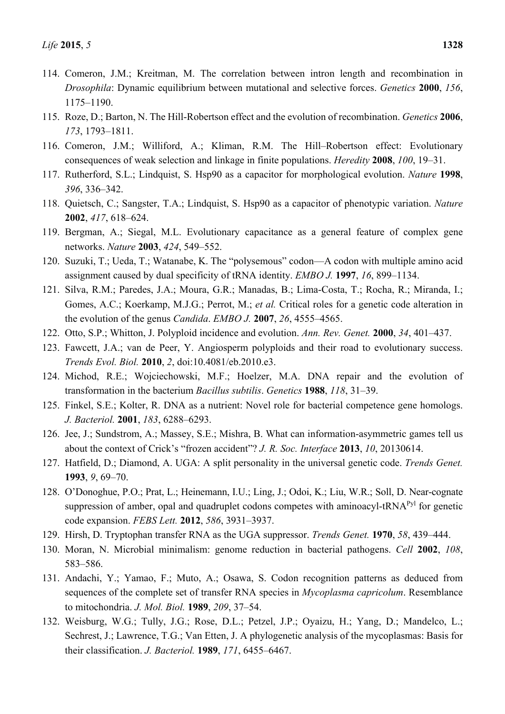- 114. Comeron, J.M.; Kreitman, M. The correlation between intron length and recombination in *Drosophila*: Dynamic equilibrium between mutational and selective forces. *Genetics* **2000**, *156*, 1175–1190.
- 115. Roze, D.; Barton, N. The Hill-Robertson effect and the evolution of recombination. *Genetics* **2006**, *173*, 1793–1811.
- 116. Comeron, J.M.; Williford, A.; Kliman, R.M. The Hill–Robertson effect: Evolutionary consequences of weak selection and linkage in finite populations. *Heredity* **2008**, *100*, 19–31.
- 117. Rutherford, S.L.; Lindquist, S. Hsp90 as a capacitor for morphological evolution. *Nature* **1998**, *396*, 336–342.
- 118. Quietsch, C.; Sangster, T.A.; Lindquist, S. Hsp90 as a capacitor of phenotypic variation. *Nature* **2002**, *417*, 618–624.
- 119. Bergman, A.; Siegal, M.L. Evolutionary capacitance as a general feature of complex gene networks. *Nature* **2003**, *424*, 549–552.
- 120. Suzuki, T.; Ueda, T.; Watanabe, K. The "polysemous" codon—A codon with multiple amino acid assignment caused by dual specificity of tRNA identity. *EMBO J.* **1997**, *16*, 899–1134.
- 121. Silva, R.M.; Paredes, J.A.; Moura, G.R.; Manadas, B.; Lima-Costa, T.; Rocha, R.; Miranda, I.; Gomes, A.C.; Koerkamp, M.J.G.; Perrot, M.; *et al.* Critical roles for a genetic code alteration in the evolution of the genus *Candida*. *EMBO J.* **2007**, *26*, 4555–4565.
- 122. Otto, S.P.; Whitton, J. Polyploid incidence and evolution. *Ann. Rev. Genet.* **2000**, *34*, 401–437.
- 123. Fawcett, J.A.; van de Peer, Y. Angiosperm polyploids and their road to evolutionary success. *Trends Evol. Biol.* **2010**, *2*, doi:10.4081/eb.2010.e3.
- 124. Michod, R.E.; Wojciechowski, M.F.; Hoelzer, M.A. DNA repair and the evolution of transformation in the bacterium *Bacillus subtilis*. *Genetics* **1988**, *118*, 31–39.
- 125. Finkel, S.E.; Kolter, R. DNA as a nutrient: Novel role for bacterial competence gene homologs. *J. Bacteriol.* **2001**, *183*, 6288–6293.
- 126. Jee, J.; Sundstrom, A.; Massey, S.E.; Mishra, B. What can information-asymmetric games tell us about the context of Crick's "frozen accident"? *J. R. Soc. Interface* **2013**, *10*, 20130614.
- 127. Hatfield, D.; Diamond, A. UGA: A split personality in the universal genetic code. *Trends Genet.*  **1993**, *9*, 69–70.
- 128. O'Donoghue, P.O.; Prat, L.; Heinemann, I.U.; Ling, J.; Odoi, K.; Liu, W.R.; Soll, D. Near-cognate suppression of amber, opal and quadruplet codons competes with aminoacyl-tRNA<sup>Pyl</sup> for genetic code expansion. *FEBS Lett.* **2012**, *586*, 3931–3937.
- 129. Hirsh, D. Tryptophan transfer RNA as the UGA suppressor. *Trends Genet.* **1970**, *58*, 439–444.
- 130. Moran, N. Microbial minimalism: genome reduction in bacterial pathogens. *Cell* **2002**, *108*, 583–586.
- 131. Andachi, Y.; Yamao, F.; Muto, A.; Osawa, S. Codon recognition patterns as deduced from sequences of the complete set of transfer RNA species in *Mycoplasma capricolum*. Resemblance to mitochondria. *J. Mol. Biol.* **1989**, *209*, 37–54.
- 132. Weisburg, W.G.; Tully, J.G.; Rose, D.L.; Petzel, J.P.; Oyaizu, H.; Yang, D.; Mandelco, L.; Sechrest, J.; Lawrence, T.G.; Van Etten, J. A phylogenetic analysis of the mycoplasmas: Basis for their classification. *J. Bacteriol.* **1989**, *171*, 6455–6467.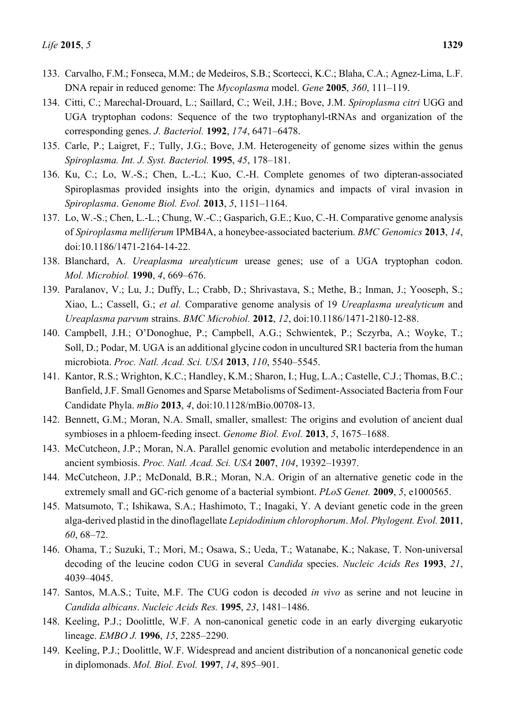- 133. Carvalho, F.M.; Fonseca, M.M.; de Medeiros, S.B.; Scortecci, K.C.; Blaha, C.A.; Agnez-Lima, L.F. DNA repair in reduced genome: The *Mycoplasma* model. *Gene* **2005**, *360*, 111–119.
- 134. Citti, C.; Marechal-Drouard, L.; Saillard, C.; Weil, J.H.; Bove, J.M. *Spiroplasma citri* UGG and UGA tryptophan codons: Sequence of the two tryptophanyl-tRNAs and organization of the corresponding genes. *J. Bacteriol.* **1992**, *174*, 6471–6478.
- 135. Carle, P.; Laigret, F.; Tully, J.G.; Bove, J.M. Heterogeneity of genome sizes within the genus *Spiroplasma. Int. J. Syst. Bacteriol.* **1995**, *45*, 178–181.
- 136. Ku, C.; Lo, W.-S.; Chen, L.-L.; Kuo, C.-H. Complete genomes of two dipteran-associated Spiroplasmas provided insights into the origin, dynamics and impacts of viral invasion in *Spiroplasma*. *Genome Biol. Evol.* **2013**, *5*, 1151–1164.
- 137. Lo, W.-S.; Chen, L.-L.; Chung, W.-C.; Gasparich, G.E.; Kuo, C.-H. Comparative genome analysis of *Spiroplasma melliferum* IPMB4A, a honeybee-associated bacterium. *BMC Genomics* **2013**, *14*, doi:10.1186/1471-2164-14-22.
- 138. Blanchard, A. *Ureaplasma urealyticum* urease genes; use of a UGA tryptophan codon. *Mol. Microbiol.* **1990**, *4*, 669–676.
- 139. Paralanov, V.; Lu, J.; Duffy, L.; Crabb, D.; Shrivastava, S.; Methe, B.; Inman, J.; Yooseph, S.; Xiao, L.; Cassell, G.; *et al.* Comparative genome analysis of 19 *Ureaplasma urealyticum* and *Ureaplasma parvum* strains. *BMC Microbiol.* **2012**, *12*, doi:10.1186/1471-2180-12-88.
- 140. Campbell, J.H.; O'Donoghue, P.; Campbell, A.G.; Schwientek, P.; Sczyrba, A.; Woyke, T.; Soll, D.; Podar, M. UGA is an additional glycine codon in uncultured SR1 bacteria from the human microbiota. *Proc. Natl. Acad. Sci. USA* **2013**, *110*, 5540–5545.
- 141. Kantor, R.S.; Wrighton, K.C.; Handley, K.M.; Sharon, I.; Hug, L.A.; Castelle, C.J.; Thomas, B.C.; Banfield, J.F. Small Genomes and Sparse Metabolisms of Sediment-Associated Bacteria from Four Candidate Phyla. *mBio* **2013**, *4*, doi:10.1128/mBio.00708-13.
- 142. Bennett, G.M.; Moran, N.A. Small, smaller, smallest: The origins and evolution of ancient dual symbioses in a phloem-feeding insect. *Genome Biol. Evol.* **2013**, *5*, 1675–1688.
- 143. McCutcheon, J.P.; Moran, N.A. Parallel genomic evolution and metabolic interdependence in an ancient symbiosis. *Proc. Natl. Acad. Sci. USA* **2007**, *104*, 19392–19397.
- 144. McCutcheon, J.P.; McDonald, B.R.; Moran, N.A. Origin of an alternative genetic code in the extremely small and GC-rich genome of a bacterial symbiont. *PLoS Genet.* **2009**, *5*, e1000565.
- 145. Matsumoto, T.; Ishikawa, S.A.; Hashimoto, T.; Inagaki, Y. A deviant genetic code in the green alga-derived plastid in the dinoflagellate *Lepidodinium chlorophorum*. *Mol. Phylogent. Evol.* **2011**, *60*, 68–72.
- 146. Ohama, T.; Suzuki, T.; Mori, M.; Osawa, S.; Ueda, T.; Watanabe, K.; Nakase, T. Non-universal decoding of the leucine codon CUG in several *Candida* species. *Nucleic Acids Res* **1993**, *21*, 4039–4045.
- 147. Santos, M.A.S.; Tuite, M.F. The CUG codon is decoded *in vivo* as serine and not leucine in *Candida albicans*. *Nucleic Acids Res.* **1995**, *23*, 1481–1486.
- 148. Keeling, P.J.; Doolittle, W.F. A non-canonical genetic code in an early diverging eukaryotic lineage. *EMBO J.* **1996**, *15*, 2285–2290.
- 149. Keeling, P.J.; Doolittle, W.F. Widespread and ancient distribution of a noncanonical genetic code in diplomonads. *Mol. Biol. Evol.* **1997**, *14*, 895–901.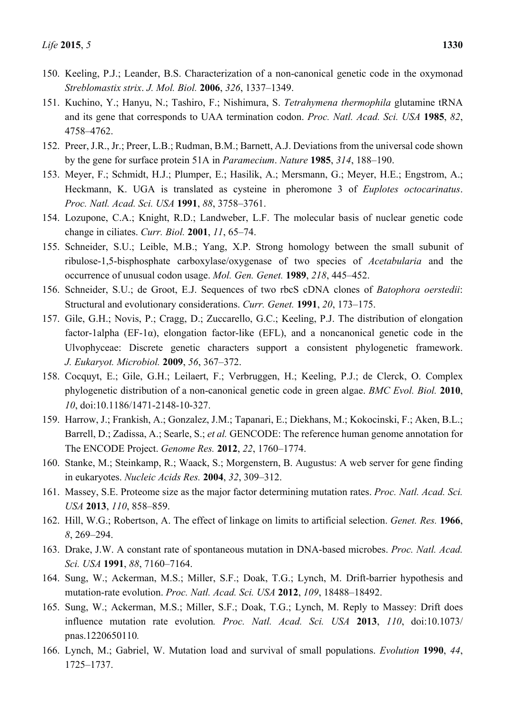- 150. Keeling, P.J.; Leander, B.S. Characterization of a non-canonical genetic code in the oxymonad *Streblomastix strix*. *J. Mol. Biol.* **2006**, *326*, 1337–1349.
- 151. Kuchino, Y.; Hanyu, N.; Tashiro, F.; Nishimura, S. *Tetrahymena thermophila* glutamine tRNA and its gene that corresponds to UAA termination codon. *Proc. Natl. Acad. Sci. USA* **1985**, *82*, 4758–4762.
- 152. Preer, J.R., Jr.; Preer, L.B.; Rudman, B.M.; Barnett, A.J. Deviations from the universal code shown by the gene for surface protein 51A in *Paramecium*. *Nature* **1985**, *314*, 188–190.
- 153. Meyer, F.; Schmidt, H.J.; Plumper, E.; Hasilik, A.; Mersmann, G.; Meyer, H.E.; Engstrom, A.; Heckmann, K. UGA is translated as cysteine in pheromone 3 of *Euplotes octocarinatus*. *Proc. Natl. Acad. Sci. USA* **1991**, *88*, 3758–3761.
- 154. Lozupone, C.A.; Knight, R.D.; Landweber, L.F. The molecular basis of nuclear genetic code change in ciliates. *Curr. Biol.* **2001**, *11*, 65–74.
- 155. Schneider, S.U.; Leible, M.B.; Yang, X.P. Strong homology between the small subunit of ribulose-1,5-bisphosphate carboxylase/oxygenase of two species of *Acetabularia* and the occurrence of unusual codon usage. *Mol. Gen. Genet.* **1989**, *218*, 445–452.
- 156. Schneider, S.U.; de Groot, E.J. Sequences of two rbcS cDNA clones of *Batophora oerstedii*: Structural and evolutionary considerations. *Curr. Genet.* **1991**, *20*, 173–175.
- 157. Gile, G.H.; Novis, P.; Cragg, D.; Zuccarello, G.C.; Keeling, P.J. The distribution of elongation factor-1alpha (EF-1 $\alpha$ ), elongation factor-like (EFL), and a noncanonical genetic code in the Ulvophyceae: Discrete genetic characters support a consistent phylogenetic framework. *J. Eukaryot. Microbiol.* **2009**, *56*, 367–372.
- 158. Cocquyt, E.; Gile, G.H.; Leilaert, F.; Verbruggen, H.; Keeling, P.J.; de Clerck, O. Complex phylogenetic distribution of a non-canonical genetic code in green algae. *BMC Evol. Biol.* **2010**, *10*, doi:10.1186/1471-2148-10-327.
- 159. Harrow, J.; Frankish, A.; Gonzalez, J.M.; Tapanari, E.; Diekhans, M.; Kokocinski, F.; Aken, B.L.; Barrell, D.; Zadissa, A.; Searle, S.; *et al.* GENCODE: The reference human genome annotation for The ENCODE Project. *Genome Res.* **2012**, *22*, 1760–1774.
- 160. Stanke, M.; Steinkamp, R.; Waack, S.; Morgenstern, B. Augustus: A web server for gene finding in eukaryotes. *Nucleic Acids Res.* **2004**, *32*, 309–312.
- 161. Massey, S.E. Proteome size as the major factor determining mutation rates. *Proc. Natl. Acad. Sci. USA* **2013**, *110*, 858–859.
- 162. Hill, W.G.; Robertson, A. The effect of linkage on limits to artificial selection. *Genet. Res.* **1966**, *8*, 269–294.
- 163. Drake, J.W. A constant rate of spontaneous mutation in DNA-based microbes. *Proc. Natl. Acad. Sci. USA* **1991**, *88*, 7160–7164.
- 164. Sung, W.; Ackerman, M.S.; Miller, S.F.; Doak, T.G.; Lynch, M. Drift-barrier hypothesis and mutation-rate evolution. *Proc. Natl. Acad. Sci. USA* **2012**, *109*, 18488–18492.
- 165. Sung, W.; Ackerman, M.S.; Miller, S.F.; Doak, T.G.; Lynch, M. Reply to Massey: Drift does influence mutation rate evolution*. Proc. Natl. Acad. Sci. USA* **2013**, *110*, doi:10.1073/ pnas.1220650110*.*
- 166. Lynch, M.; Gabriel, W. Mutation load and survival of small populations. *Evolution* **1990**, *44*, 1725–1737.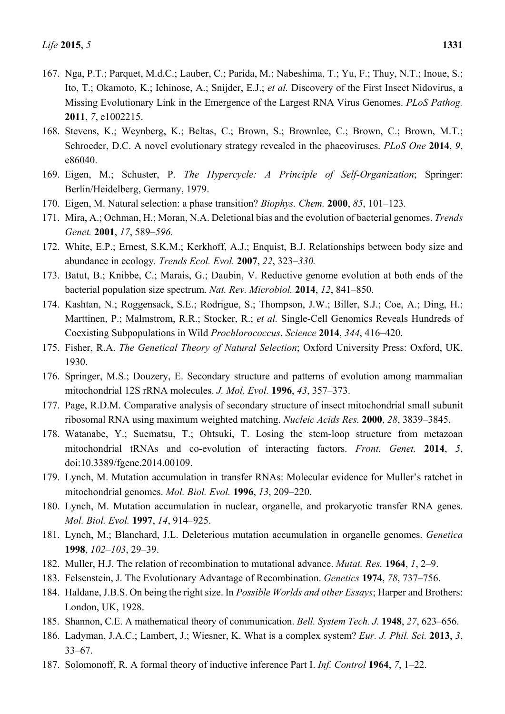- 167. Nga, P.T.; Parquet, M.d.C.; Lauber, C.; Parida, M.; Nabeshima, T.; Yu, F.; Thuy, N.T.; Inoue, S.; Ito, T.; Okamoto, K.; Ichinose, A.; Snijder, E.J.; *et al.* Discovery of the First Insect Nidovirus, a Missing Evolutionary Link in the Emergence of the Largest RNA Virus Genomes. *PLoS Pathog.* **2011**, *7*, e1002215.
- 168. Stevens, K.; Weynberg, K.; Beltas, C.; Brown, S.; Brownlee, C.; Brown, C.; Brown, M.T.; Schroeder, D.C. A novel evolutionary strategy revealed in the phaeoviruses. *PLoS One* **2014**, *9*, e86040.
- 169. Eigen, M.; Schuster, P. *The Hypercycle: A Principle of Self-Organization*; Springer: Berlin/Heidelberg, Germany, 1979.
- 170. Eigen, M. Natural selection: a phase transition? *Biophys. Chem.* **2000**, *85*, 101–123*.*
- 171. Mira, A.; Ochman, H.; Moran, N.A. Deletional bias and the evolution of bacterial genomes. *Trends Genet.* **2001**, *17*, 589*–596.*
- 172. White, E.P.; Ernest, S.K.M.; Kerkhoff, A.J.; Enquist, B.J. Relationships between body size and abundance in ecology*. Trends Ecol. Evol.* **2007**, *22*, 323*–330.*
- 173. Batut, B.; Knibbe, C.; Marais, G.; Daubin, V. Reductive genome evolution at both ends of the bacterial population size spectrum. *Nat. Rev. Microbiol.* **2014**, *12*, 841–850.
- 174. Kashtan, N.; Roggensack, S.E.; Rodrigue, S.; Thompson, J.W.; Biller, S.J.; Coe, A.; Ding, H.; Marttinen, P.; Malmstrom, R.R.; Stocker, R.; *et al.* Single-Cell Genomics Reveals Hundreds of Coexisting Subpopulations in Wild *Prochlorococcus*. *Science* **2014**, *344*, 416–420.
- 175. Fisher, R.A. *The Genetical Theory of Natural Selection*; Oxford University Press: Oxford, UK, 1930.
- 176. Springer, M.S.; Douzery, E. Secondary structure and patterns of evolution among mammalian mitochondrial 12S rRNA molecules. *J. Mol. Evol.* **1996**, *43*, 357–373.
- 177. Page, R.D.M. Comparative analysis of secondary structure of insect mitochondrial small subunit ribosomal RNA using maximum weighted matching. *Nucleic Acids Res.* **2000**, *28*, 3839–3845.
- 178. Watanabe, Y.; Suematsu, T.; Ohtsuki, T. Losing the stem-loop structure from metazoan mitochondrial tRNAs and co-evolution of interacting factors. *Front. Genet.* **2014**, *5*, doi:10.3389/fgene.2014.00109.
- 179. Lynch, M. Mutation accumulation in transfer RNAs: Molecular evidence for Muller's ratchet in mitochondrial genomes. *Mol. Biol. Evol.* **1996**, *13*, 209–220.
- 180. Lynch, M. Mutation accumulation in nuclear, organelle, and prokaryotic transfer RNA genes. *Mol. Biol. Evol.* **1997**, *14*, 914–925.
- 181. Lynch, M.; Blanchard, J.L. Deleterious mutation accumulation in organelle genomes. *Genetica*  **1998**, *102–103*, 29–39.
- 182. Muller, H.J. The relation of recombination to mutational advance. *Mutat. Res.* **1964**, *1*, 2–9.
- 183. Felsenstein, J. The Evolutionary Advantage of Recombination. *Genetics* **1974**, *78*, 737–756.
- 184. Haldane, J.B.S. On being the right size. In *Possible Worlds and other Essays*; Harper and Brothers: London, UK, 1928.
- 185. Shannon, C.E. A mathematical theory of communication. *Bell. System Tech. J.* **1948**, *27*, 623–656.
- 186. Ladyman, J.A.C.; Lambert, J.; Wiesner, K. What is a complex system? *Eur. J. Phil. Sci.* **2013**, *3*, 33–67.
- 187. Solomonoff, R. A formal theory of inductive inference Part I. *Inf. Control* **1964**, *7*, 1–22.